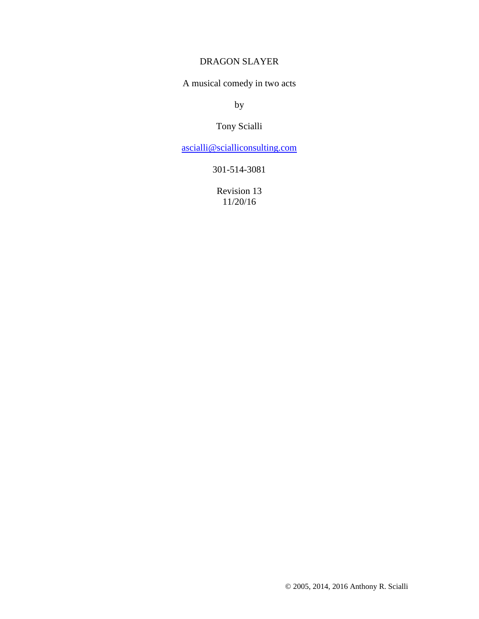### DRAGON SLAYER

A musical comedy in two acts

by

## Tony Scialli

ascialli@scialliconsulting.com

301-514-3081

Revision 13 11/20/16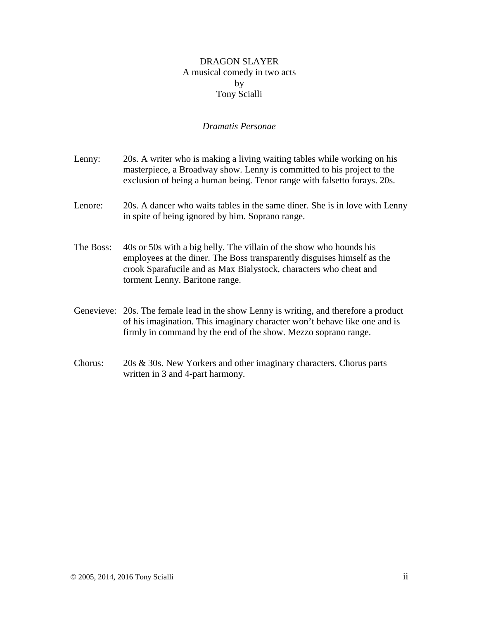### DRAGON SLAYER A musical comedy in two acts by Tony Scialli

### *Dramatis Personae*

| Lenny:    | 20s. A writer who is making a living waiting tables while working on his<br>masterpiece, a Broadway show. Lenny is committed to his project to the<br>exclusion of being a human being. Tenor range with falset to forays. 20s.                       |
|-----------|-------------------------------------------------------------------------------------------------------------------------------------------------------------------------------------------------------------------------------------------------------|
| Lenore:   | 20s. A dancer who waits tables in the same diner. She is in love with Lenny<br>in spite of being ignored by him. Soprano range.                                                                                                                       |
| The Boss: | 40s or 50s with a big belly. The villain of the show who hounds his<br>employees at the diner. The Boss transparently disguises himself as the<br>crook Sparafucile and as Max Bialystock, characters who cheat and<br>torment Lenny. Baritone range. |
|           | Genevieve: 20s. The female lead in the show Lenny is writing, and therefore a product<br>of his imagination. This imaginary character won't behave like one and is<br>firmly in command by the end of the show. Mezzo soprano range.                  |
| Chorus:   | 20s & 30s. New Yorkers and other imaginary characters. Chorus parts<br>written in 3 and 4-part harmony.                                                                                                                                               |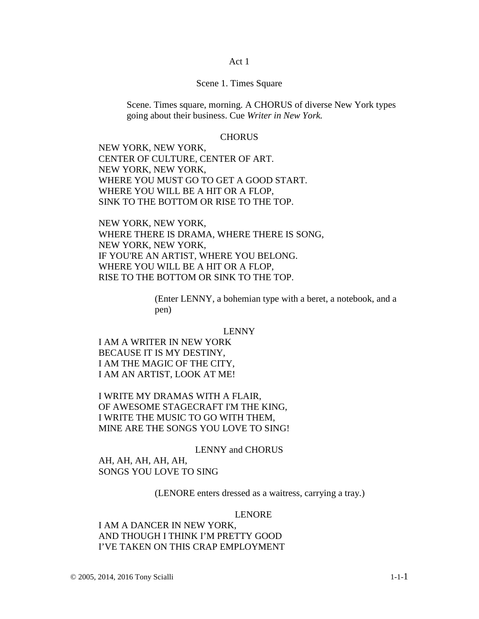#### Act 1

#### Scene 1. Times Square

Scene. Times square, morning. A CHORUS of diverse New York types going about their business. Cue *Writer in New York.* 

#### **CHORUS**

NEW YORK, NEW YORK, CENTER OF CULTURE, CENTER OF ART. NEW YORK, NEW YORK, WHERE YOU MUST GO TO GET A GOOD START. WHERE YOU WILL BE A HIT OR A FLOP, SINK TO THE BOTTOM OR RISE TO THE TOP.

NEW YORK, NEW YORK, WHERE THERE IS DRAMA, WHERE THERE IS SONG, NEW YORK, NEW YORK, IF YOU'RE AN ARTIST, WHERE YOU BELONG. WHERE YOU WILL BE A HIT OR A FLOP, RISE TO THE BOTTOM OR SINK TO THE TOP.

> (Enter LENNY, a bohemian type with a beret, a notebook, and a pen)

#### LENNY

I AM A WRITER IN NEW YORK BECAUSE IT IS MY DESTINY, I AM THE MAGIC OF THE CITY, I AM AN ARTIST, LOOK AT ME!

I WRITE MY DRAMAS WITH A FLAIR, OF AWESOME STAGECRAFT I'M THE KING, I WRITE THE MUSIC TO GO WITH THEM, MINE ARE THE SONGS YOU LOVE TO SING!

LENNY and CHORUS

AH, AH, AH, AH, AH, SONGS YOU LOVE TO SING

(LENORE enters dressed as a waitress, carrying a tray.)

#### LENORE

I AM A DANCER IN NEW YORK, AND THOUGH I THINK I'M PRETTY GOOD I'VE TAKEN ON THIS CRAP EMPLOYMENT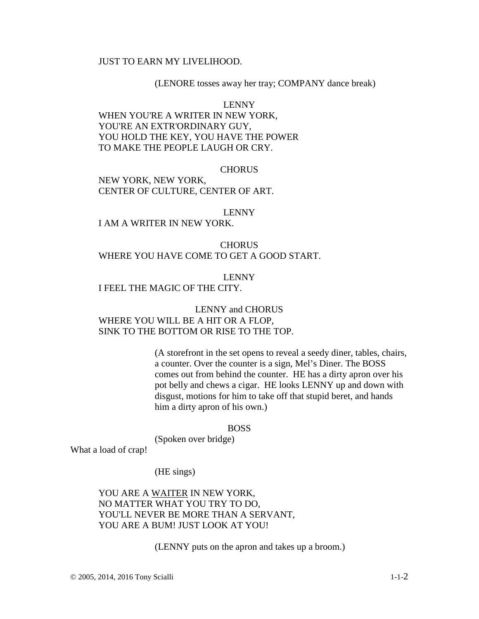### JUST TO EARN MY LIVELIHOOD.

#### (LENORE tosses away her tray; COMPANY dance break)

LENNY

WHEN YOU'RE A WRITER IN NEW YORK, YOU'RE AN EXTR'ORDINARY GUY, YOU HOLD THE KEY, YOU HAVE THE POWER TO MAKE THE PEOPLE LAUGH OR CRY.

#### **CHORUS**

NEW YORK, NEW YORK, CENTER OF CULTURE, CENTER OF ART.

#### LENNY

I AM A WRITER IN NEW YORK.

**CHORUS** WHERE YOU HAVE COME TO GET A GOOD START.

#### LENNY

I FEEL THE MAGIC OF THE CITY.

LENNY and CHORUS WHERE YOU WILL BE A HIT OR A FLOP, SINK TO THE BOTTOM OR RISE TO THE TOP.

> (A storefront in the set opens to reveal a seedy diner, tables, chairs, a counter. Over the counter is a sign, Mel's Diner. The BOSS comes out from behind the counter. HE has a dirty apron over his pot belly and chews a cigar. HE looks LENNY up and down with disgust, motions for him to take off that stupid beret, and hands him a dirty apron of his own.)

#### BOSS

(Spoken over bridge)

What a load of crap!

(HE sings)

YOU ARE A WAITER IN NEW YORK, NO MATTER WHAT YOU TRY TO DO, YOU'LL NEVER BE MORE THAN A SERVANT, YOU ARE A BUM! JUST LOOK AT YOU!

(LENNY puts on the apron and takes up a broom.)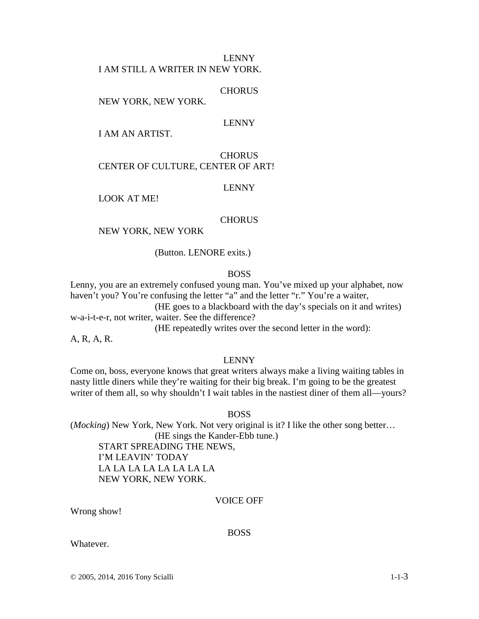#### LENNY I AM STILL A WRITER IN NEW YORK.

**CHORUS** 

NEW YORK, NEW YORK.

### LENNY

I AM AN ARTIST.

### **CHORUS** CENTER OF CULTURE, CENTER OF ART!

### LENNY

LOOK AT ME!

### **CHORUS**

### NEW YORK, NEW YORK

(Button. LENORE exits.)

#### BOSS

Lenny, you are an extremely confused young man. You've mixed up your alphabet, now haven't you? You're confusing the letter "a" and the letter "r." You're a waiter,

(HE goes to a blackboard with the day's specials on it and writes) w-a-i-t-e-r, not writer, waiter. See the difference?

(HE repeatedly writes over the second letter in the word):

A, R, A, R.

#### LENNY

Come on, boss, everyone knows that great writers always make a living waiting tables in nasty little diners while they're waiting for their big break. I'm going to be the greatest writer of them all, so why shouldn't I wait tables in the nastiest diner of them all—yours?

BOSS

(*Mocking*) New York, New York. Not very original is it? I like the other song better… (HE sings the Kander-Ebb tune.) START SPREADING THE NEWS,

I'M LEAVIN' TODAY LA LA LA LA LA LA LA LA NEW YORK, NEW YORK.

### VOICE OFF

Wrong show!

#### BOSS

Whatever.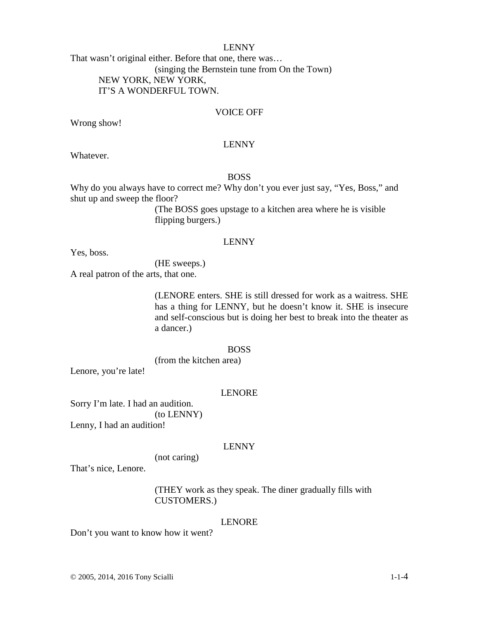That wasn't original either. Before that one, there was… (singing the Bernstein tune from On the Town) NEW YORK, NEW YORK, IT'S A WONDERFUL TOWN.

### VOICE OFF

Wrong show!

#### LENNY

Whatever.

### BOSS

Why do you always have to correct me? Why don't you ever just say, "Yes, Boss," and shut up and sweep the floor?

> (The BOSS goes upstage to a kitchen area where he is visible flipping burgers.)

#### LENNY

Yes, boss.

(HE sweeps.)

A real patron of the arts, that one.

(LENORE enters. SHE is still dressed for work as a waitress. SHE has a thing for LENNY, but he doesn't know it. SHE is insecure and self-conscious but is doing her best to break into the theater as a dancer.)

#### BOSS

(from the kitchen area)

Lenore, you're late!

#### LENORE

Sorry I'm late. I had an audition. (to LENNY) Lenny, I had an audition!

#### LENNY

(not caring)

That's nice, Lenore.

(THEY work as they speak. The diner gradually fills with CUSTOMERS.)

#### LENORE

Don't you want to know how it went?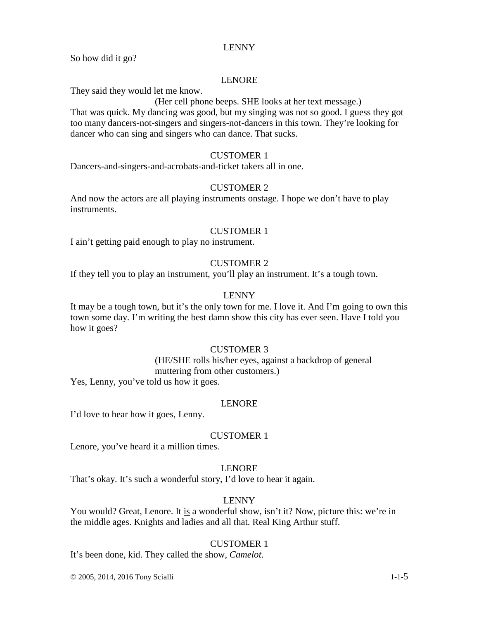So how did it go?

### LENORE

They said they would let me know.

### (Her cell phone beeps. SHE looks at her text message.)

That was quick. My dancing was good, but my singing was not so good. I guess they got too many dancers-not-singers and singers-not-dancers in this town. They're looking for dancer who can sing and singers who can dance. That sucks.

### CUSTOMER 1

Dancers-and-singers-and-acrobats-and-ticket takers all in one.

### CUSTOMER 2

And now the actors are all playing instruments onstage. I hope we don't have to play instruments.

### CUSTOMER 1

I ain't getting paid enough to play no instrument.

### CUSTOMER 2

If they tell you to play an instrument, you'll play an instrument. It's a tough town.

### LENNY

It may be a tough town, but it's the only town for me. I love it. And I'm going to own this town some day. I'm writing the best damn show this city has ever seen. Have I told you how it goes?

### CUSTOMER 3

(HE/SHE rolls his/her eyes, against a backdrop of general muttering from other customers.)

Yes, Lenny, you've told us how it goes.

### LENORE

I'd love to hear how it goes, Lenny.

### CUSTOMER 1

Lenore, you've heard it a million times.

### LENORE

That's okay. It's such a wonderful story, I'd love to hear it again.

### LENNY

You would? Great, Lenore. It is a wonderful show, isn't it? Now, picture this: we're in the middle ages. Knights and ladies and all that. Real King Arthur stuff.

#### CUSTOMER 1

It's been done, kid. They called the show, *Camelot*.

© 2005, 2014, 2016 Tony Scialli 1-1-5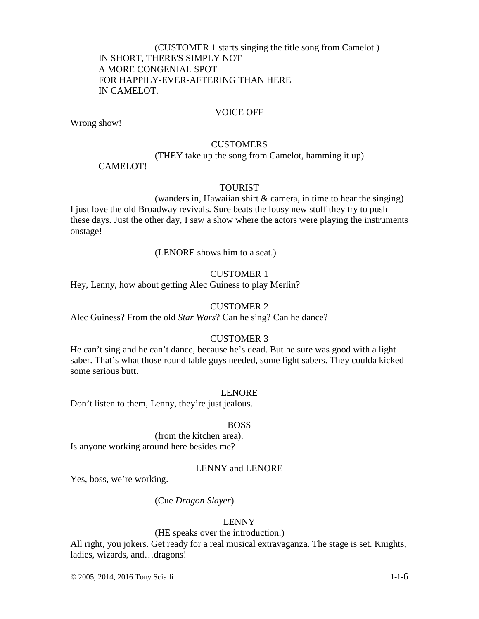(CUSTOMER 1 starts singing the title song from Camelot.) IN SHORT, THERE'S SIMPLY NOT A MORE CONGENIAL SPOT FOR HAPPILY-EVER-AFTERING THAN HERE IN CAMELOT.

### VOICE OFF

Wrong show!

### **CUSTOMERS**

(THEY take up the song from Camelot, hamming it up).

#### CAMELOT!

#### TOURIST

(wanders in, Hawaiian shirt & camera, in time to hear the singing) I just love the old Broadway revivals. Sure beats the lousy new stuff they try to push these days. Just the other day, I saw a show where the actors were playing the instruments onstage!

#### (LENORE shows him to a seat.)

#### CUSTOMER 1

Hey, Lenny, how about getting Alec Guiness to play Merlin?

#### CUSTOMER 2

Alec Guiness? From the old *Star Wars*? Can he sing? Can he dance?

#### CUSTOMER 3

He can't sing and he can't dance, because he's dead. But he sure was good with a light saber. That's what those round table guys needed, some light sabers. They coulda kicked some serious butt.

#### LENORE

Don't listen to them, Lenny, they're just jealous.

#### BOSS

(from the kitchen area). Is anyone working around here besides me?

#### LENNY and LENORE

Yes, boss, we're working.

#### (Cue *Dragon Slayer*)

#### LENNY

### (HE speaks over the introduction.)

All right, you jokers. Get ready for a real musical extravaganza. The stage is set. Knights, ladies, wizards, and…dragons!

© 2005, 2014, 2016 Tony Scialli 1-1-6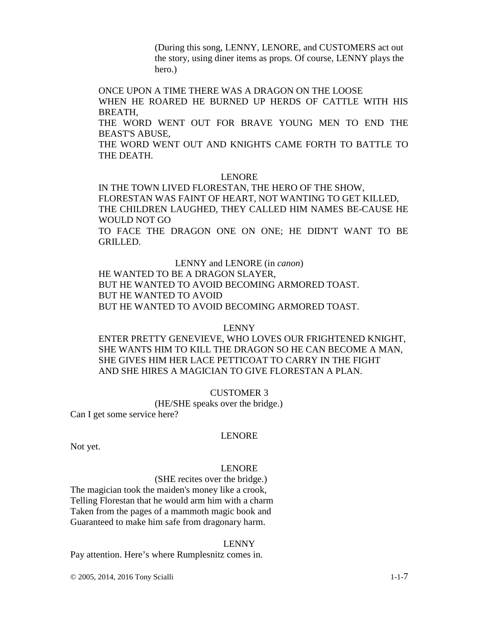(During this song, LENNY, LENORE, and CUSTOMERS act out the story, using diner items as props. Of course, LENNY plays the hero.)

ONCE UPON A TIME THERE WAS A DRAGON ON THE LOOSE

WHEN HE ROARED HE BURNED UP HERDS OF CATTLE WITH HIS BREATH,

THE WORD WENT OUT FOR BRAVE YOUNG MEN TO END THE BEAST'S ABUSE,

THE WORD WENT OUT AND KNIGHTS CAME FORTH TO BATTLE TO THE DEATH.

#### LENORE

IN THE TOWN LIVED FLORESTAN, THE HERO OF THE SHOW, FLORESTAN WAS FAINT OF HEART, NOT WANTING TO GET KILLED, THE CHILDREN LAUGHED, THEY CALLED HIM NAMES BE-CAUSE HE WOULD NOT GO

TO FACE THE DRAGON ONE ON ONE; HE DIDN'T WANT TO BE GRILLED.

LENNY and LENORE (in *canon*)

HE WANTED TO BE A DRAGON SLAYER, BUT HE WANTED TO AVOID BECOMING ARMORED TOAST. BUT HE WANTED TO AVOID BUT HE WANTED TO AVOID BECOMING ARMORED TOAST.

#### LENNY

ENTER PRETTY GENEVIEVE, WHO LOVES OUR FRIGHTENED KNIGHT, SHE WANTS HIM TO KILL THE DRAGON SO HE CAN BECOME A MAN, SHE GIVES HIM HER LACE PETTICOAT TO CARRY IN THE FIGHT AND SHE HIRES A MAGICIAN TO GIVE FLORESTAN A PLAN.

#### CUSTOMER 3

(HE/SHE speaks over the bridge.)

Can I get some service here?

#### LENORE

Not yet.

#### LENORE

(SHE recites over the bridge.) The magician took the maiden's money like a crook, Telling Florestan that he would arm him with a charm Taken from the pages of a mammoth magic book and

Guaranteed to make him safe from dragonary harm.

#### LENNY

Pay attention. Here's where Rumplesnitz comes in.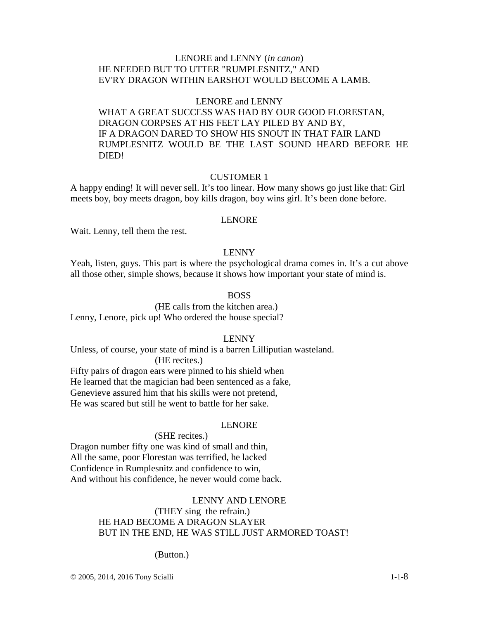### LENORE and LENNY (*in canon*) HE NEEDED BUT TO UTTER "RUMPLESNITZ," AND EV'RY DRAGON WITHIN EARSHOT WOULD BECOME A LAMB.

#### LENORE and LENNY

WHAT A GREAT SUCCESS WAS HAD BY OUR GOOD FLORESTAN, DRAGON CORPSES AT HIS FEET LAY PILED BY AND BY, IF A DRAGON DARED TO SHOW HIS SNOUT IN THAT FAIR LAND RUMPLESNITZ WOULD BE THE LAST SOUND HEARD BEFORE HE DIED!

#### CUSTOMER 1

A happy ending! It will never sell. It's too linear. How many shows go just like that: Girl meets boy, boy meets dragon, boy kills dragon, boy wins girl. It's been done before.

#### LENORE

Wait. Lenny, tell them the rest.

#### LENNY

Yeah, listen, guys. This part is where the psychological drama comes in. It's a cut above all those other, simple shows, because it shows how important your state of mind is.

#### BOSS

(HE calls from the kitchen area.) Lenny, Lenore, pick up! Who ordered the house special?

#### LENNY

Unless, of course, your state of mind is a barren Lilliputian wasteland.

### (HE recites.)

Fifty pairs of dragon ears were pinned to his shield when He learned that the magician had been sentenced as a fake, Genevieve assured him that his skills were not pretend, He was scared but still he went to battle for her sake.

#### LENORE

### (SHE recites.)

Dragon number fifty one was kind of small and thin, All the same, poor Florestan was terrified, he lacked Confidence in Rumplesnitz and confidence to win, And without his confidence, he never would come back.

#### LENNY AND LENORE

### (THEY sing the refrain.) HE HAD BECOME A DRAGON SLAYER BUT IN THE END, HE WAS STILL JUST ARMORED TOAST!

(Button.)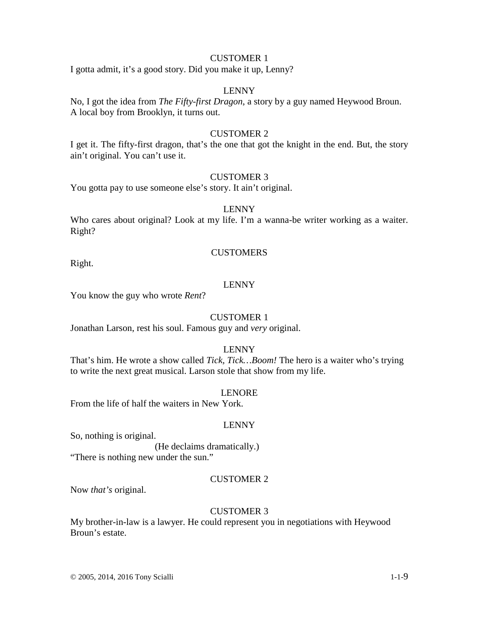### CUSTOMER 1

I gotta admit, it's a good story. Did you make it up, Lenny?

### LENNY

No, I got the idea from *The Fifty-first Dragon*, a story by a guy named Heywood Broun. A local boy from Brooklyn, it turns out.

#### CUSTOMER 2

I get it. The fifty-first dragon, that's the one that got the knight in the end. But, the story ain't original. You can't use it.

#### CUSTOMER 3

You gotta pay to use someone else's story. It ain't original.

#### LENNY

Who cares about original? Look at my life. I'm a wanna-be writer working as a waiter. Right?

#### **CUSTOMERS**

Right.

### LENNY

You know the guy who wrote *Rent*?

#### CUSTOMER 1

Jonathan Larson, rest his soul. Famous guy and *very* original.

### LENNY

That's him. He wrote a show called *Tick, Tick…Boom!* The hero is a waiter who's trying to write the next great musical. Larson stole that show from my life.

#### LENORE

From the life of half the waiters in New York.

#### LENNY

So, nothing is original.

(He declaims dramatically.) "There is nothing new under the sun."

### CUSTOMER 2

Now *that's* original.

#### CUSTOMER 3

My brother-in-law is a lawyer. He could represent you in negotiations with Heywood Broun's estate.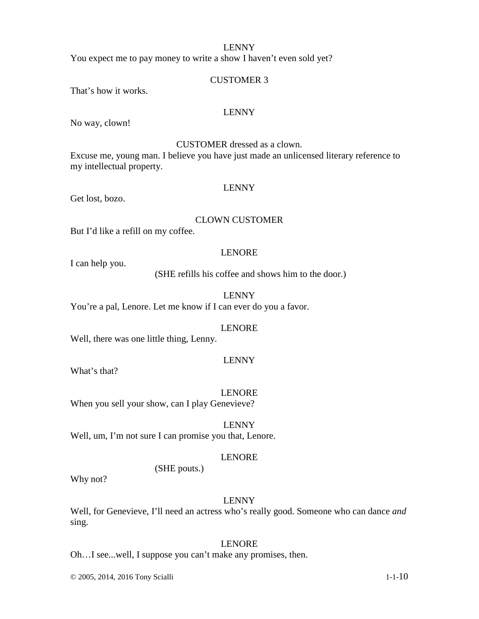You expect me to pay money to write a show I haven't even sold yet?

#### CUSTOMER 3

That's how it works.

### LENNY

No way, clown!

#### CUSTOMER dressed as a clown.

Excuse me, young man. I believe you have just made an unlicensed literary reference to my intellectual property.

#### LENNY

Get lost, bozo.

#### CLOWN CUSTOMER

But I'd like a refill on my coffee.

#### LENORE

I can help you.

(SHE refills his coffee and shows him to the door.)

LENNY

You're a pal, Lenore. Let me know if I can ever do you a favor.

### LENORE

Well, there was one little thing, Lenny.

#### LENNY

What's that?

LENORE

When you sell your show, can I play Genevieve?

#### LENNY

Well, um, I'm not sure I can promise you that, Lenore.

#### LENORE

(SHE pouts.)

Why not?

#### LENNY

Well, for Genevieve, I'll need an actress who's really good. Someone who can dance *and* sing.

### LENORE

Oh…I see...well, I suppose you can't make any promises, then.

© 2005, 2014, 2016 Tony Scialli 1-1-10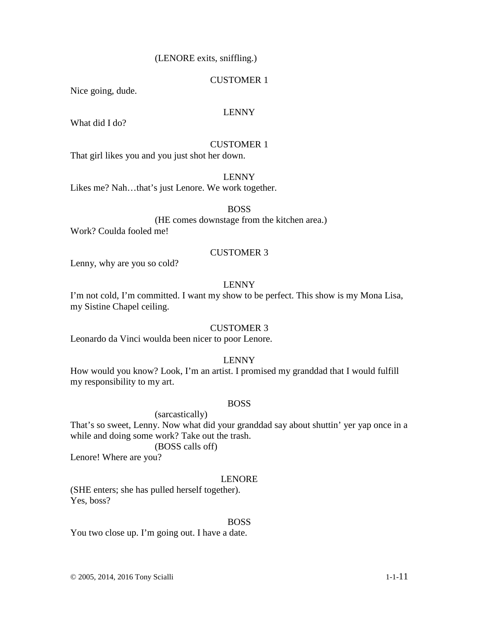### (LENORE exits, sniffling.)

### CUSTOMER 1

Nice going, dude.

### LENNY

What did I do?

### CUSTOMER 1

That girl likes you and you just shot her down.

#### LENNY

Likes me? Nah…that's just Lenore. We work together.

### BOSS

(HE comes downstage from the kitchen area.) Work? Coulda fooled me!

#### CUSTOMER 3

Lenny, why are you so cold?

### LENNY

I'm not cold, I'm committed. I want my show to be perfect. This show is my Mona Lisa, my Sistine Chapel ceiling.

#### CUSTOMER 3

Leonardo da Vinci woulda been nicer to poor Lenore.

### LENNY

How would you know? Look, I'm an artist. I promised my granddad that I would fulfill my responsibility to my art.

### BOSS

 (sarcastically) That's so sweet, Lenny. Now what did your granddad say about shuttin' yer yap once in a while and doing some work? Take out the trash. (BOSS calls off)

Lenore! Where are you?

### LENORE

(SHE enters; she has pulled herself together). Yes, boss?

#### BOSS

You two close up. I'm going out. I have a date.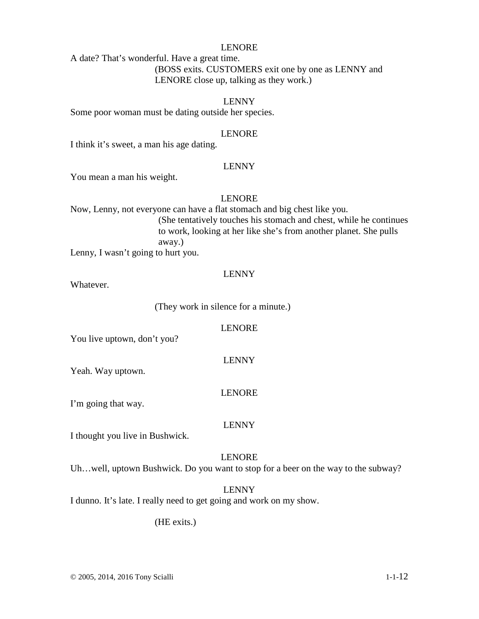### LENORE

A date? That's wonderful. Have a great time. (BOSS exits. CUSTOMERS exit one by one as LENNY and LENORE close up, talking as they work.)

#### LENNY

Some poor woman must be dating outside her species.

#### LENORE

I think it's sweet, a man his age dating.

#### LENNY

You mean a man his weight.

#### LENORE

Now, Lenny, not everyone can have a flat stomach and big chest like you. (She tentatively touches his stomach and chest, while he continues to work, looking at her like she's from another planet. She pulls away.)

Lenny, I wasn't going to hurt you.

#### LENNY

Whatever.

(They work in silence for a minute.)

#### LENORE

You live uptown, don't you?

Yeah. Way uptown.

#### LENORE

LENNY

I'm going that way.

#### LENNY

I thought you live in Bushwick.

#### LENORE

Uh…well, uptown Bushwick. Do you want to stop for a beer on the way to the subway?

### LENNY

I dunno. It's late. I really need to get going and work on my show.

(HE exits.)

© 2005, 2014, 2016 Tony Scialli 1-1-12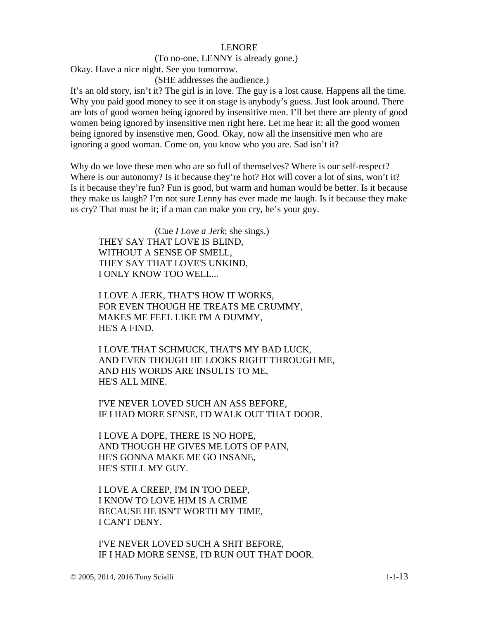#### LENORE

#### (To no-one, LENNY is already gone.)

Okay. Have a nice night. See you tomorrow.

(SHE addresses the audience.)

It's an old story, isn't it? The girl is in love. The guy is a lost cause. Happens all the time. Why you paid good money to see it on stage is anybody's guess. Just look around. There are lots of good women being ignored by insensitive men. I'll bet there are plenty of good women being ignored by insensitive men right here. Let me hear it: all the good women being ignored by insenstive men, Good. Okay, now all the insensitive men who are ignoring a good woman. Come on, you know who you are. Sad isn't it?

Why do we love these men who are so full of themselves? Where is our self-respect? Where is our autonomy? Is it because they're hot? Hot will cover a lot of sins, won't it? Is it because they're fun? Fun is good, but warm and human would be better. Is it because they make us laugh? I'm not sure Lenny has ever made me laugh. Is it because they make us cry? That must be it; if a man can make you cry, he's your guy.

(Cue *I Love a Jerk*; she sings.) THEY SAY THAT LOVE IS BLIND, WITHOUT A SENSE OF SMELL, THEY SAY THAT LOVE'S UNKIND, I ONLY KNOW TOO WELL...

I LOVE A JERK, THAT'S HOW IT WORKS, FOR EVEN THOUGH HE TREATS ME CRUMMY, MAKES ME FEEL LIKE I'M A DUMMY, HE'S A FIND.

I LOVE THAT SCHMUCK, THAT'S MY BAD LUCK, AND EVEN THOUGH HE LOOKS RIGHT THROUGH ME, AND HIS WORDS ARE INSULTS TO ME, HE'S ALL MINE.

I'VE NEVER LOVED SUCH AN ASS BEFORE, IF I HAD MORE SENSE, I'D WALK OUT THAT DOOR.

I LOVE A DOPE, THERE IS NO HOPE, AND THOUGH HE GIVES ME LOTS OF PAIN, HE'S GONNA MAKE ME GO INSANE, HE'S STILL MY GUY.

I LOVE A CREEP, I'M IN TOO DEEP, I KNOW TO LOVE HIM IS A CRIME BECAUSE HE ISN'T WORTH MY TIME, I CAN'T DENY.

I'VE NEVER LOVED SUCH A SHIT BEFORE, IF I HAD MORE SENSE, I'D RUN OUT THAT DOOR.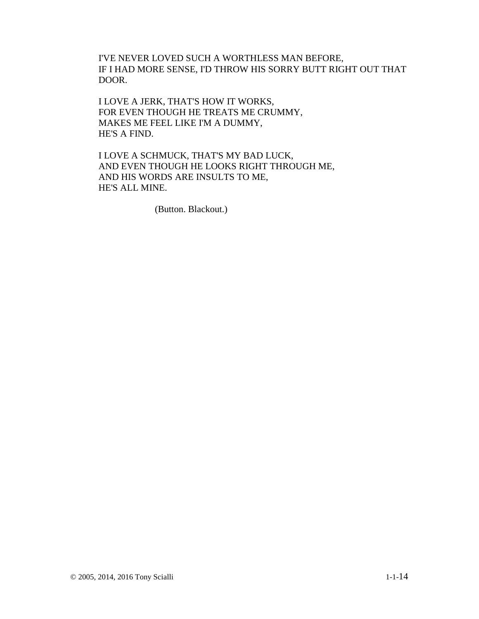I'VE NEVER LOVED SUCH A WORTHLESS MAN BEFORE, IF I HAD MORE SENSE, I'D THROW HIS SORRY BUTT RIGHT OUT THAT DOOR.

I LOVE A JERK, THAT'S HOW IT WORKS, FOR EVEN THOUGH HE TREATS ME CRUMMY, MAKES ME FEEL LIKE I'M A DUMMY, HE'S A FIND.

I LOVE A SCHMUCK, THAT'S MY BAD LUCK, AND EVEN THOUGH HE LOOKS RIGHT THROUGH ME, AND HIS WORDS ARE INSULTS TO ME, HE'S ALL MINE.

(Button. Blackout.)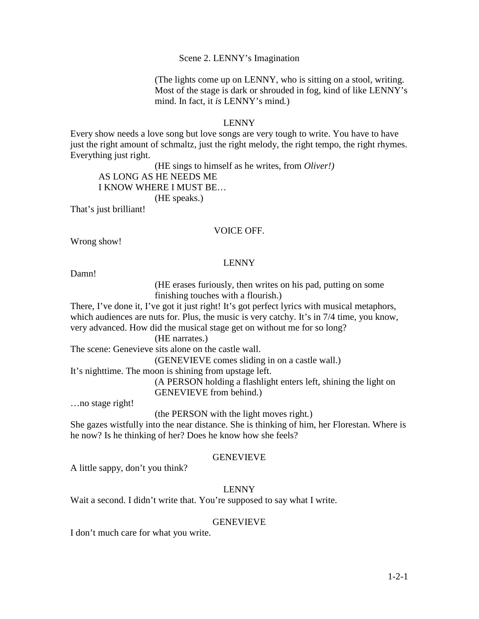#### Scene 2. LENNY's Imagination

(The lights come up on LENNY, who is sitting on a stool, writing. Most of the stage is dark or shrouded in fog, kind of like LENNY's mind. In fact, it *is* LENNY's mind*.*)

#### LENNY

Every show needs a love song but love songs are very tough to write. You have to have just the right amount of schmaltz, just the right melody, the right tempo, the right rhymes. Everything just right.

(HE sings to himself as he writes, from *Oliver!)* 

AS LONG AS HE NEEDS ME

### I KNOW WHERE I MUST BE…

(HE speaks.)

That's just brilliant!

#### VOICE OFF.

Wrong show!

### LENNY

Damn!

(HE erases furiously, then writes on his pad, putting on some finishing touches with a flourish.)

There, I've done it, I've got it just right! It's got perfect lyrics with musical metaphors, which audiences are nuts for. Plus, the music is very catchy. It's in 7/4 time, you know, very advanced. How did the musical stage get on without me for so long?

(HE narrates.)

The scene: Genevieve sits alone on the castle wall.

(GENEVIEVE comes sliding in on a castle wall.)

It's nighttime. The moon is shining from upstage left.

(A PERSON holding a flashlight enters left, shining the light on GENEVIEVE from behind.)

…no stage right!

(the PERSON with the light moves right*.*)

She gazes wistfully into the near distance. She is thinking of him, her Florestan. Where is he now? Is he thinking of her? Does he know how she feels?

### **GENEVIEVE**

A little sappy, don't you think?

### LENNY

Wait a second. I didn't write that. You're supposed to say what I write.

### GENEVIEVE

I don't much care for what you write.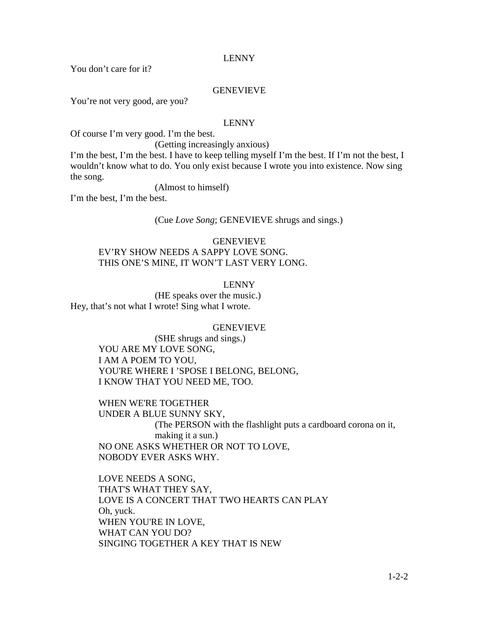You don't care for it?

#### GENEVIEVE

You're not very good, are you?

#### LENNY

Of course I'm very good. I'm the best.

(Getting increasingly anxious)

I'm the best, I'm the best. I have to keep telling myself I'm the best. If I'm not the best, I wouldn't know what to do. You only exist because I wrote you into existence. Now sing the song.

(Almost to himself)

I'm the best, I'm the best.

(Cue *Love Song*; GENEVIEVE shrugs and sings.)

### GENEVIEVE EV'RY SHOW NEEDS A SAPPY LOVE SONG. THIS ONE'S MINE, IT WON'T LAST VERY LONG.

#### LENNY

(HE speaks over the music.) Hey, that's not what I wrote! Sing what I wrote.

### GENEVIEVE

(SHE shrugs and sings.) YOU ARE MY LOVE SONG, I AM A POEM TO YOU, YOU'RE WHERE I 'SPOSE I BELONG, BELONG, I KNOW THAT YOU NEED ME, TOO.

WHEN WE'RE TOGETHER UNDER A BLUE SUNNY SKY, (The PERSON with the flashlight puts a cardboard corona on it, making it a sun.) NO ONE ASKS WHETHER OR NOT TO LOVE, NOBODY EVER ASKS WHY.

LOVE NEEDS A SONG, THAT'S WHAT THEY SAY, LOVE IS A CONCERT THAT TWO HEARTS CAN PLAY Oh, yuck. WHEN YOU'RE IN LOVE, WHAT CAN YOU DO? SINGING TOGETHER A KEY THAT IS NEW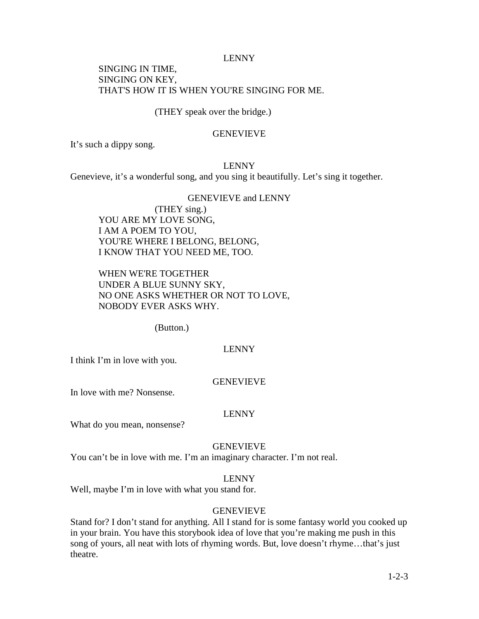### SINGING IN TIME, SINGING ON KEY, THAT'S HOW IT IS WHEN YOU'RE SINGING FOR ME.

(THEY speak over the bridge.)

#### GENEVIEVE

It's such a dippy song.

LENNY

Genevieve, it's a wonderful song, and you sing it beautifully. Let's sing it together.

### GENEVIEVE and LENNY (THEY sing.) YOU ARE MY LOVE SONG, I AM A POEM TO YOU, YOU'RE WHERE I BELONG, BELONG, I KNOW THAT YOU NEED ME, TOO.

WHEN WE'RE TOGETHER UNDER A BLUE SUNNY SKY, NO ONE ASKS WHETHER OR NOT TO LOVE, NOBODY EVER ASKS WHY.

(Button.)

### LENNY

I think I'm in love with you.

#### GENEVIEVE

In love with me? Nonsense.

### LENNY

What do you mean, nonsense?

#### GENEVIEVE

You can't be in love with me. I'm an imaginary character. I'm not real.

### LENNY

Well, maybe I'm in love with what you stand for.

### GENEVIEVE

Stand for? I don't stand for anything. All I stand for is some fantasy world you cooked up in your brain. You have this storybook idea of love that you're making me push in this song of yours, all neat with lots of rhyming words. But, love doesn't rhyme…that's just theatre.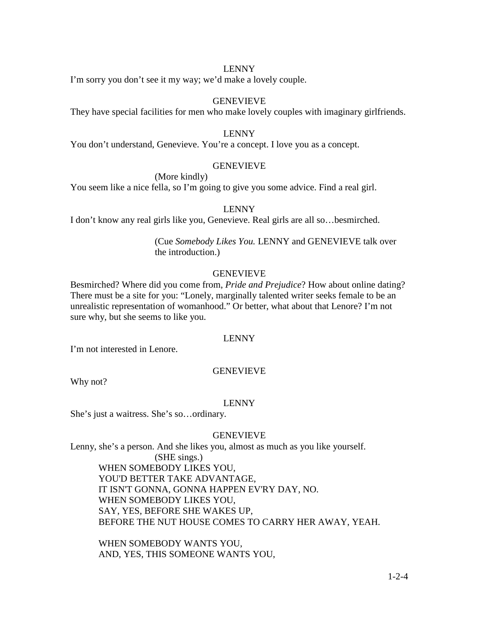I'm sorry you don't see it my way; we'd make a lovely couple.

### **GENEVIEVE**

They have special facilities for men who make lovely couples with imaginary girlfriends.

### LENNY

You don't understand, Genevieve. You're a concept. I love you as a concept.

### **GENEVIEVE**

(More kindly)

You seem like a nice fella, so I'm going to give you some advice. Find a real girl.

### LENNY

I don't know any real girls like you, Genevieve. Real girls are all so…besmirched.

### (Cue *Somebody Likes You.* LENNY and GENEVIEVE talk over the introduction.)

### GENEVIEVE

Besmirched? Where did you come from, *Pride and Prejudice*? How about online dating? There must be a site for you: "Lonely, marginally talented writer seeks female to be an unrealistic representation of womanhood." Or better, what about that Lenore? I'm not sure why, but she seems to like you.

#### LENNY

I'm not interested in Lenore.

### GENEVIEVE

Why not?

#### LENNY

She's just a waitress. She's so…ordinary.

#### **GENEVIEVE**

Lenny, she's a person. And she likes you, almost as much as you like yourself.

(SHE sings.) WHEN SOMEBODY LIKES YOU, YOU'D BETTER TAKE ADVANTAGE, IT ISN'T GONNA, GONNA HAPPEN EV'RY DAY, NO. WHEN SOMEBODY LIKES YOU, SAY, YES, BEFORE SHE WAKES UP, BEFORE THE NUT HOUSE COMES TO CARRY HER AWAY, YEAH.

WHEN SOMEBODY WANTS YOU, AND, YES, THIS SOMEONE WANTS YOU,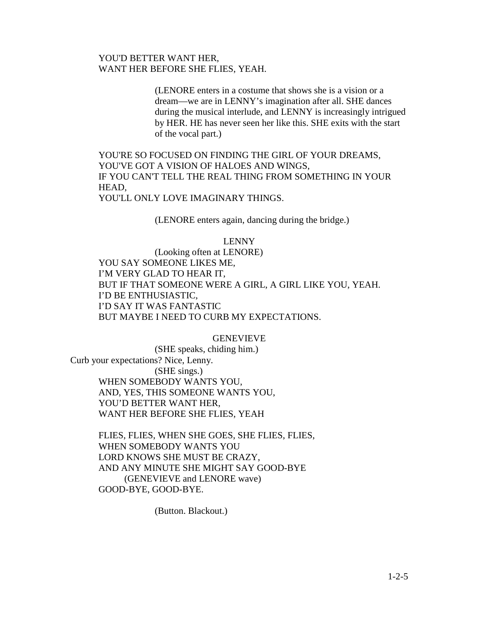### YOU'D BETTER WANT HER, WANT HER BEFORE SHE FLIES, YEAH.

(LENORE enters in a costume that shows she is a vision or a dream—we are in LENNY's imagination after all. SHE dances during the musical interlude, and LENNY is increasingly intrigued by HER. HE has never seen her like this. SHE exits with the start of the vocal part.)

YOU'RE SO FOCUSED ON FINDING THE GIRL OF YOUR DREAMS, YOU'VE GOT A VISION OF HALOES AND WINGS, IF YOU CAN'T TELL THE REAL THING FROM SOMETHING IN YOUR HEAD,

YOU'LL ONLY LOVE IMAGINARY THINGS.

(LENORE enters again, dancing during the bridge.)

#### LENNY

 (Looking often at LENORE) YOU SAY SOMEONE LIKES ME, I'M VERY GLAD TO HEAR IT, BUT IF THAT SOMEONE WERE A GIRL, A GIRL LIKE YOU, YEAH. I'D BE ENTHUSIASTIC, I'D SAY IT WAS FANTASTIC BUT MAYBE I NEED TO CURB MY EXPECTATIONS.

#### GENEVIEVE

(SHE speaks, chiding him.) Curb your expectations? Nice, Lenny. (SHE sings.) WHEN SOMEBODY WANTS YOU, AND, YES, THIS SOMEONE WANTS YOU, YOU'D BETTER WANT HER, WANT HER BEFORE SHE FLIES, YEAH

> FLIES, FLIES, WHEN SHE GOES, SHE FLIES, FLIES, WHEN SOMEBODY WANTS YOU LORD KNOWS SHE MUST BE CRAZY, AND ANY MINUTE SHE MIGHT SAY GOOD-BYE (GENEVIEVE and LENORE wave) GOOD-BYE, GOOD-BYE.

> > (Button. Blackout.)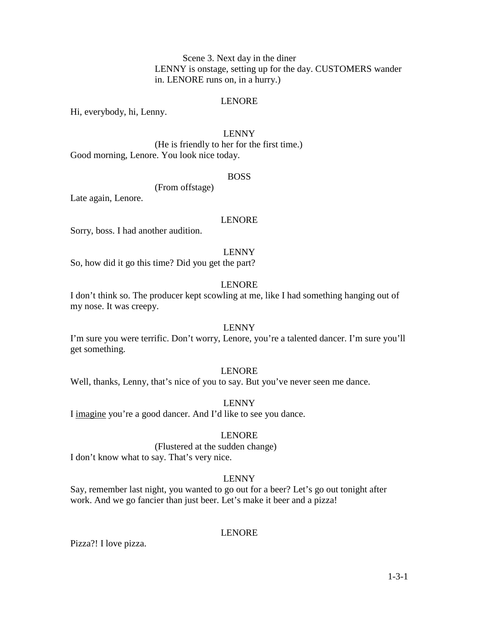Scene 3. Next day in the diner LENNY is onstage, setting up for the day. CUSTOMERS wander in. LENORE runs on, in a hurry.)

#### LENORE

Hi, everybody, hi, Lenny.

### LENNY

 (He is friendly to her for the first time.) Good morning, Lenore. You look nice today.

#### BOSS

(From offstage)

Late again, Lenore.

### LENORE

Sorry, boss. I had another audition.

#### LENNY

So, how did it go this time? Did you get the part?

### LENORE

I don't think so. The producer kept scowling at me, like I had something hanging out of my nose. It was creepy.

### LENNY

I'm sure you were terrific. Don't worry, Lenore, you're a talented dancer. I'm sure you'll get something.

#### LENORE

Well, thanks, Lenny, that's nice of you to say. But you've never seen me dance.

#### LENNY

I imagine you're a good dancer. And I'd like to see you dance.

#### LENORE

#### (Flustered at the sudden change) I don't know what to say. That's very nice.

#### LENNY

Say, remember last night, you wanted to go out for a beer? Let's go out tonight after work. And we go fancier than just beer. Let's make it beer and a pizza!

#### LENORE

Pizza?! I love pizza.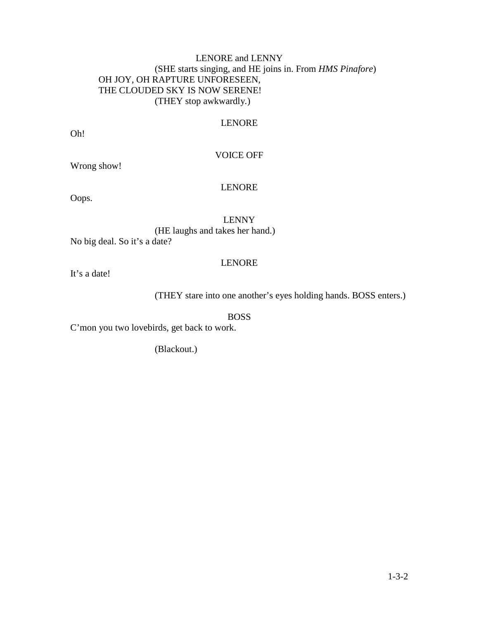### LENORE and LENNY (SHE starts singing, and HE joins in. From *HMS Pinafore*) OH JOY, OH RAPTURE UNFORESEEN, THE CLOUDED SKY IS NOW SERENE! (THEY stop awkwardly*.*)

### LENORE

Oh!

### VOICE OFF

Wrong show!

### LENORE

Oops.

### LENNY

(HE laughs and takes her hand.) No big deal. So it's a date?

### LENORE

It's a date!

(THEY stare into one another's eyes holding hands. BOSS enters.)

BOSS

C'mon you two lovebirds, get back to work.

(Blackout.)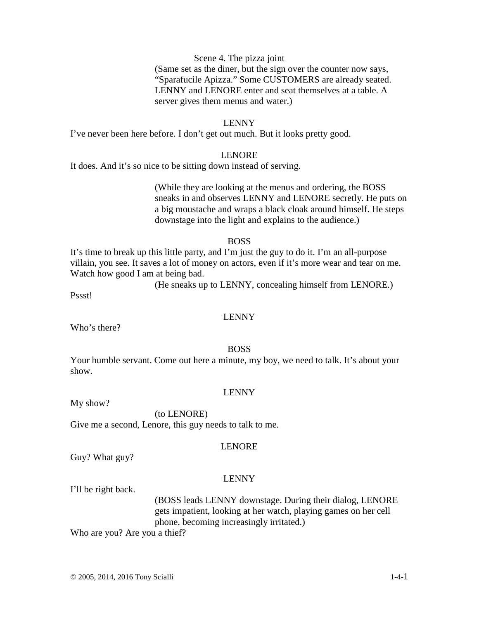### Scene 4. The pizza joint

(Same set as the diner, but the sign over the counter now says, "Sparafucile Apizza." Some CUSTOMERS are already seated. LENNY and LENORE enter and seat themselves at a table. A server gives them menus and water.)

#### LENNY

I've never been here before. I don't get out much. But it looks pretty good.

#### LENORE

It does. And it's so nice to be sitting down instead of serving.

(While they are looking at the menus and ordering, the BOSS sneaks in and observes LENNY and LENORE secretly. He puts on a big moustache and wraps a black cloak around himself. He steps downstage into the light and explains to the audience.)

#### BOSS

It's time to break up this little party, and I'm just the guy to do it. I'm an all-purpose villain, you see. It saves a lot of money on actors, even if it's more wear and tear on me. Watch how good I am at being bad.

(He sneaks up to LENNY, concealing himself from LENORE.)

Pssst!

#### LENNY

Who's there?

#### BOSS

Your humble servant. Come out here a minute, my boy, we need to talk. It's about your show.

#### LENNY

My show?

 (to LENORE) Give me a second, Lenore, this guy needs to talk to me.

#### LENORE

Guy? What guy?

#### LENNY

I'll be right back.

(BOSS leads LENNY downstage. During their dialog, LENORE gets impatient, looking at her watch, playing games on her cell phone, becoming increasingly irritated.)

Who are you? Are you a thief?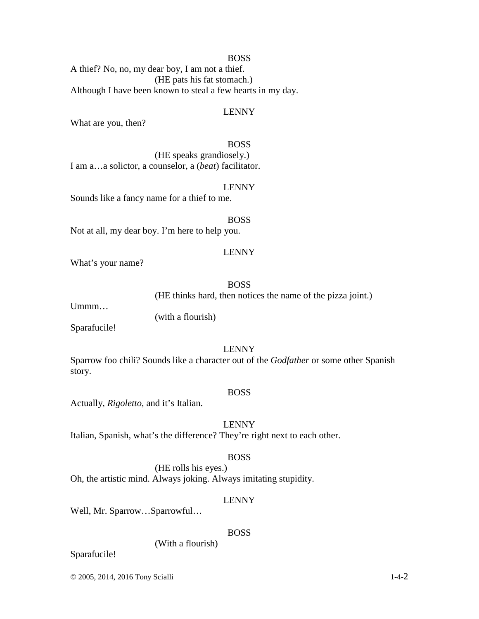#### BOSS

A thief? No, no, my dear boy, I am not a thief. (HE pats his fat stomach.) Although I have been known to steal a few hearts in my day.

#### LENNY

What are you, then?

#### BOSS

(HE speaks grandiosely.) I am a…a solictor, a counselor, a (*beat*) facilitator.

#### LENNY

Sounds like a fancy name for a thief to me.

### BOSS

Not at all, my dear boy. I'm here to help you.

#### LENNY

What's your name?

### BOSS

(HE thinks hard, then notices the name of the pizza joint.)

Ummm…

(with a flourish)

Sparafucile!

### LENNY

Sparrow foo chili? Sounds like a character out of the *Godfather* or some other Spanish story.

#### BOSS

Actually, *Rigoletto*, and it's Italian.

LENNY

Italian, Spanish, what's the difference? They're right next to each other.

### BOSS

(HE rolls his eyes.) Oh, the artistic mind. Always joking. Always imitating stupidity.

#### LENNY

Well, Mr. Sparrow…Sparrowful…

#### BOSS

#### (With a flourish)

Sparafucile!

© 2005, 2014, 2016 Tony Scialli 1-4-2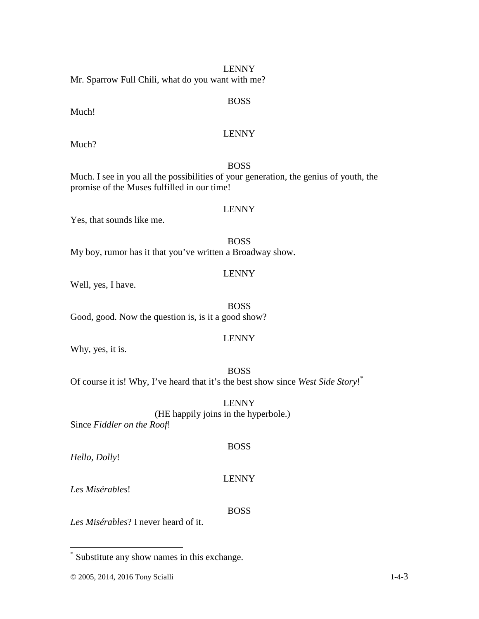LENNY Mr. Sparrow Full Chili, what do you want with me?

### BOSS

# LENNY

Much?

Much!

### BOSS

Much. I see in you all the possibilities of your generation, the genius of youth, the promise of the Muses fulfilled in our time!

### LENNY

Yes, that sounds like me.

BOSS My boy, rumor has it that you've written a Broadway show.

### LENNY

Well, yes, I have.

BOSS Good, good. Now the question is, is it a good show?

### LENNY

Why, yes, it is.

### BOSS

Of course it is! Why, I've heard that it's the best show since *West Side Story*! \*

LENNY

### (HE happily joins in the hyperbole.)

Since *Fiddler on the Roof*!

*Hello, Dolly*!

### LENNY

BOSS

*Les Misérables*!

### BOSS

*Les Misérables*? I never heard of it.

 \* Substitute any show names in this exchange.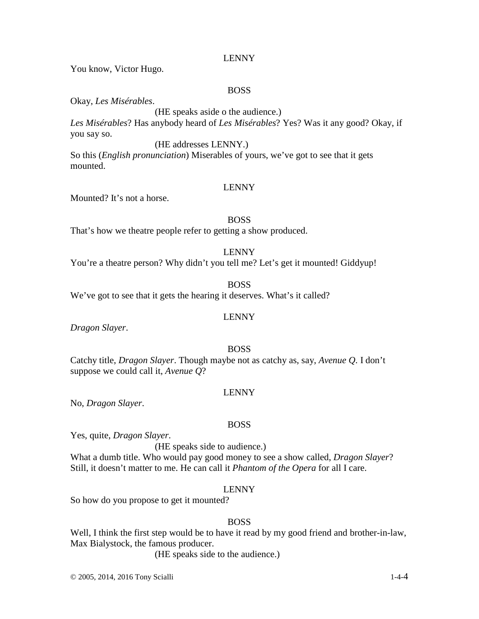You know, Victor Hugo.

### BOSS

Okay, *Les Misérables*.

(HE speaks aside o the audience.) *Les Misérables*? Has anybody heard of *Les Misérables*? Yes? Was it any good? Okay, if you say so.

#### (HE addresses LENNY.)

So this (*English pronunciation*) Miserables of yours, we've got to see that it gets mounted.

#### LENNY

Mounted? It's not a horse.

### BOSS

That's how we theatre people refer to getting a show produced.

#### LENNY

You're a theatre person? Why didn't you tell me? Let's get it mounted! Giddyup!

### BOSS

We've got to see that it gets the hearing it deserves. What's it called?

### *Dragon Slayer*.

#### BOSS

LENNY

Catchy title, *Dragon Slayer*. Though maybe not as catchy as, say, *Avenue Q*. I don't suppose we could call it, *Avenue Q*?

### LENNY

No, *Dragon Slayer*.

#### BOSS

Yes, quite, *Dragon Slayer*.

(HE speaks side to audience.) What a dumb title. Who would pay good money to see a show called, *Dragon Slayer*? Still, it doesn't matter to me. He can call it *Phantom of the Opera* for all I care.

### LENNY

So how do you propose to get it mounted?

### BOSS

Well, I think the first step would be to have it read by my good friend and brother-in-law, Max Bialystock, the famous producer.

(HE speaks side to the audience.)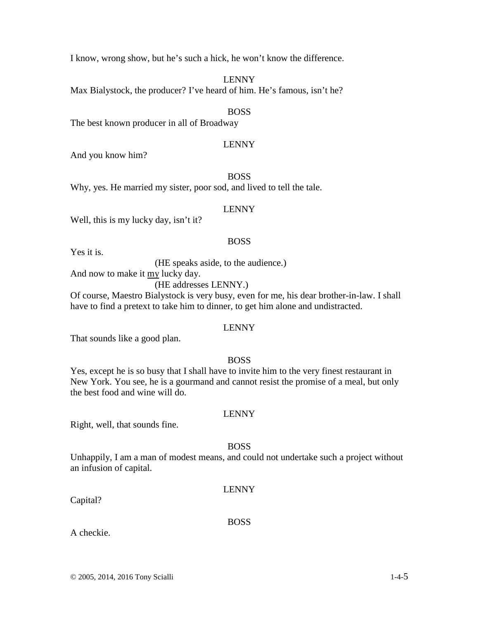I know, wrong show, but he's such a hick, he won't know the difference.

LENNY

Max Bialystock, the producer? I've heard of him. He's famous, isn't he?

### BOSS

The best known producer in all of Broadway

### LENNY

And you know him?

### BOSS

Why, yes. He married my sister, poor sod, and lived to tell the tale.

### LENNY

Well, this is my lucky day, isn't it?

### BOSS

Yes it is.

(HE speaks aside, to the audience.)

And now to make it my lucky day.

(HE addresses LENNY.)

Of course, Maestro Bialystock is very busy, even for me, his dear brother-in-law. I shall have to find a pretext to take him to dinner, to get him alone and undistracted.

### LENNY

That sounds like a good plan.

### BOSS

Yes, except he is so busy that I shall have to invite him to the very finest restaurant in New York. You see, he is a gourmand and cannot resist the promise of a meal, but only the best food and wine will do.

### LENNY

Right, well, that sounds fine.

### BOSS

Unhappily, I am a man of modest means, and could not undertake such a project without an infusion of capital.

### LENNY

Capital?

# BOSS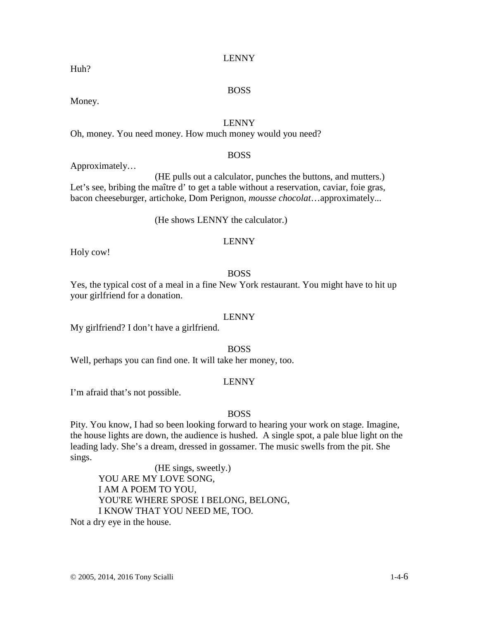# BOSS

Money.

Huh?

### LENNY

Oh, money. You need money. How much money would you need?

### BOSS

Approximately…

(HE pulls out a calculator, punches the buttons, and mutters.) Let's see, bribing the maître d' to get a table without a reservation, caviar, foie gras, bacon cheeseburger, artichoke, Dom Perignon, *mousse chocolat*…approximately...

### (He shows LENNY the calculator.)

### LENNY

Holy cow!

### BOSS

Yes, the typical cost of a meal in a fine New York restaurant. You might have to hit up your girlfriend for a donation.

### LENNY

My girlfriend? I don't have a girlfriend.

### BOSS

Well, perhaps you can find one. It will take her money, too.

### LENNY

I'm afraid that's not possible.

### BOSS

Pity. You know, I had so been looking forward to hearing your work on stage. Imagine, the house lights are down, the audience is hushed. A single spot, a pale blue light on the leading lady. She's a dream, dressed in gossamer. The music swells from the pit. She sings.

(HE sings, sweetly.) YOU ARE MY LOVE SONG, I AM A POEM TO YOU, YOU'RE WHERE SPOSE I BELONG, BELONG, I KNOW THAT YOU NEED ME, TOO.

Not a dry eye in the house.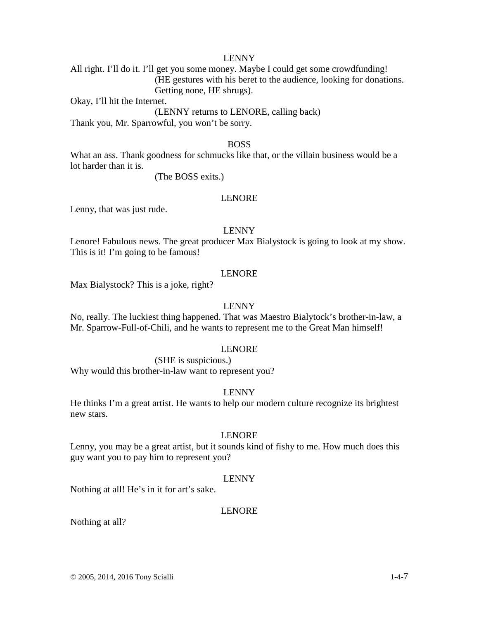All right. I'll do it. I'll get you some money. Maybe I could get some crowdfunding! (HE gestures with his beret to the audience, looking for donations. Getting none, HE shrugs).

Okay, I'll hit the Internet.

(LENNY returns to LENORE, calling back)

Thank you, Mr. Sparrowful, you won't be sorry.

#### BOSS

What an ass. Thank goodness for schmucks like that, or the villain business would be a lot harder than it is.

(The BOSS exits.)

#### LENORE

Lenny, that was just rude.

#### LENNY

Lenore! Fabulous news. The great producer Max Bialystock is going to look at my show. This is it! I'm going to be famous!

#### LENORE

Max Bialystock? This is a joke, right?

### LENNY

No, really. The luckiest thing happened. That was Maestro Bialytock's brother-in-law, a Mr. Sparrow-Full-of-Chili, and he wants to represent me to the Great Man himself!

#### LENORE

(SHE is suspicious.)

Why would this brother-in-law want to represent you?

#### LENNY

He thinks I'm a great artist. He wants to help our modern culture recognize its brightest new stars.

#### LENORE

Lenny, you may be a great artist, but it sounds kind of fishy to me. How much does this guy want you to pay him to represent you?

#### LENNY

Nothing at all! He's in it for art's sake.

#### LENORE

Nothing at all?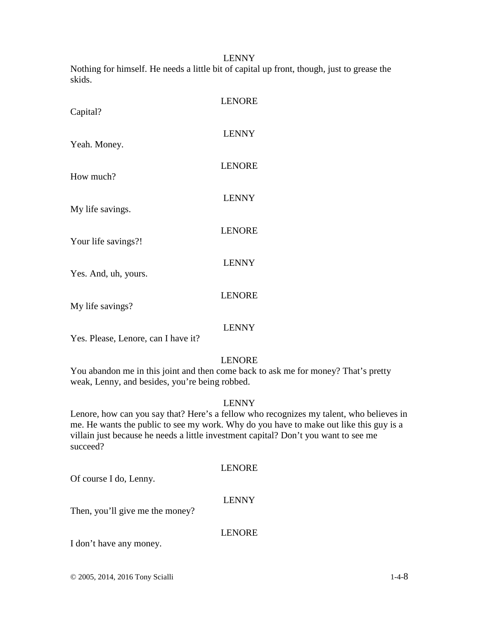Nothing for himself. He needs a little bit of capital up front, though, just to grease the skids.

| Capital?             | <b>LENORE</b> |
|----------------------|---------------|
| Yeah. Money.         | <b>LENNY</b>  |
| How much?            | <b>LENORE</b> |
| My life savings.     | <b>LENNY</b>  |
| Your life savings?!  | <b>LENORE</b> |
| Yes. And, uh, yours. | <b>LENNY</b>  |
| My life savings?     | <b>LENORE</b> |
|                      | I ENNV        |

LENNY

Yes. Please, Lenore, can I have it?

### LENORE

You abandon me in this joint and then come back to ask me for money? That's pretty weak, Lenny, and besides, you're being robbed.

### LENNY

Lenore, how can you say that? Here's a fellow who recognizes my talent, who believes in me. He wants the public to see my work. Why do you have to make out like this guy is a villain just because he needs a little investment capital? Don't you want to see me succeed?

### LENORE

Of course I do, Lenny.

### LENNY

Then, you'll give me the money?

### LENORE

I don't have any money.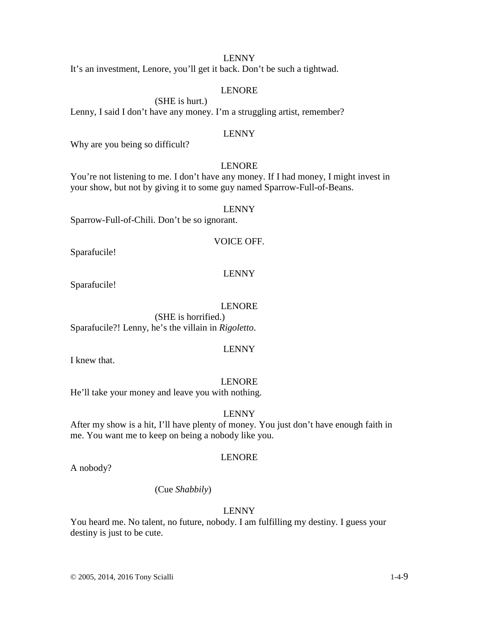It's an investment, Lenore, you'll get it back. Don't be such a tightwad.

### LENORE

(SHE is hurt.)

Lenny, I said I don't have any money. I'm a struggling artist, remember?

#### LENNY

Why are you being so difficult?

#### LENORE

You're not listening to me. I don't have any money. If I had money, I might invest in your show, but not by giving it to some guy named Sparrow-Full-of-Beans.

#### LENNY

Sparrow-Full-of-Chili. Don't be so ignorant.

#### VOICE OFF.

Sparafucile!

#### LENNY

Sparafucile!

### LENORE

 (SHE is horrified.) Sparafucile?! Lenny, he's the villain in *Rigoletto*.

### LENNY

I knew that.

#### LENORE

He'll take your money and leave you with nothing.

### LENNY

After my show is a hit, I'll have plenty of money. You just don't have enough faith in me. You want me to keep on being a nobody like you.

### LENORE

A nobody?

#### (Cue *Shabbily*)

#### LENNY

You heard me. No talent, no future, nobody. I am fulfilling my destiny. I guess your destiny is just to be cute.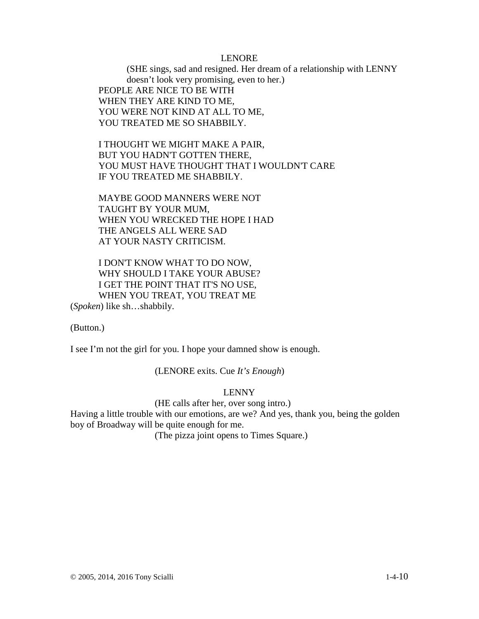#### LENORE

(SHE sings, sad and resigned. Her dream of a relationship with LENNY doesn't look very promising, even to her.) PEOPLE ARE NICE TO BE WITH WHEN THEY ARE KIND TO ME, YOU WERE NOT KIND AT ALL TO ME, YOU TREATED ME SO SHABBILY.

I THOUGHT WE MIGHT MAKE A PAIR, BUT YOU HADN'T GOTTEN THERE, YOU MUST HAVE THOUGHT THAT I WOULDN'T CARE IF YOU TREATED ME SHABBILY.

MAYBE GOOD MANNERS WERE NOT TAUGHT BY YOUR MUM, WHEN YOU WRECKED THE HOPE I HAD THE ANGELS ALL WERE SAD AT YOUR NASTY CRITICISM.

I DON'T KNOW WHAT TO DO NOW, WHY SHOULD I TAKE YOUR ABUSE? I GET THE POINT THAT IT'S NO USE, WHEN YOU TREAT, YOU TREAT ME

(*Spoken*) like sh…shabbily.

(Button.)

I see I'm not the girl for you. I hope your damned show is enough.

(LENORE exits. Cue *It's Enough*)

### LENNY

(HE calls after her, over song intro.)

Having a little trouble with our emotions, are we? And yes, thank you, being the golden boy of Broadway will be quite enough for me.

(The pizza joint opens to Times Square.)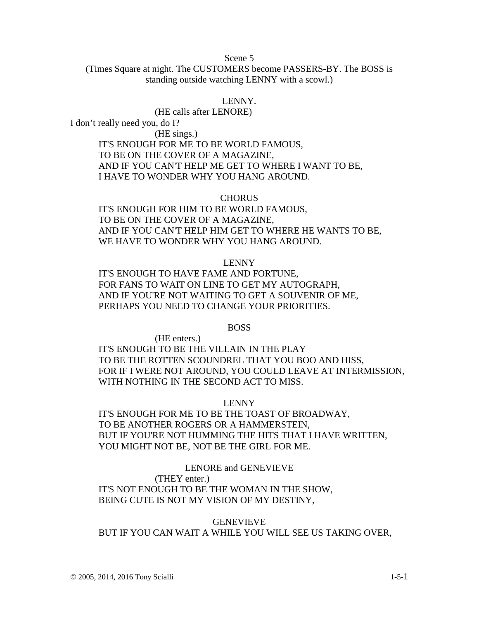Scene 5

(Times Square at night. The CUSTOMERS become PASSERS-BY. The BOSS is standing outside watching LENNY with a scowl.)

#### LENNY.

(HE calls after LENORE)

I don't really need you, do I?

(HE sings.)

IT'S ENOUGH FOR ME TO BE WORLD FAMOUS, TO BE ON THE COVER OF A MAGAZINE, AND IF YOU CAN'T HELP ME GET TO WHERE I WANT TO BE, I HAVE TO WONDER WHY YOU HANG AROUND.

#### **CHORUS**

IT'S ENOUGH FOR HIM TO BE WORLD FAMOUS, TO BE ON THE COVER OF A MAGAZINE, AND IF YOU CAN'T HELP HIM GET TO WHERE HE WANTS TO BE, WE HAVE TO WONDER WHY YOU HANG AROUND.

#### LENNY

IT'S ENOUGH TO HAVE FAME AND FORTUNE, FOR FANS TO WAIT ON LINE TO GET MY AUTOGRAPH, AND IF YOU'RE NOT WAITING TO GET A SOUVENIR OF ME, PERHAPS YOU NEED TO CHANGE YOUR PRIORITIES.

#### BOSS

(HE enters.) IT'S ENOUGH TO BE THE VILLAIN IN THE PLAY TO BE THE ROTTEN SCOUNDREL THAT YOU BOO AND HISS, FOR IF I WERE NOT AROUND, YOU COULD LEAVE AT INTERMISSION, WITH NOTHING IN THE SECOND ACT TO MISS.

### LENNY

IT'S ENOUGH FOR ME TO BE THE TOAST OF BROADWAY, TO BE ANOTHER ROGERS OR A HAMMERSTEIN, BUT IF YOU'RE NOT HUMMING THE HITS THAT I HAVE WRITTEN, YOU MIGHT NOT BE, NOT BE THE GIRL FOR ME.

### LENORE and GENEVIEVE

(THEY enter.)

IT'S NOT ENOUGH TO BE THE WOMAN IN THE SHOW, BEING CUTE IS NOT MY VISION OF MY DESTINY,

### GENEVIEVE BUT IF YOU CAN WAIT A WHILE YOU WILL SEE US TAKING OVER,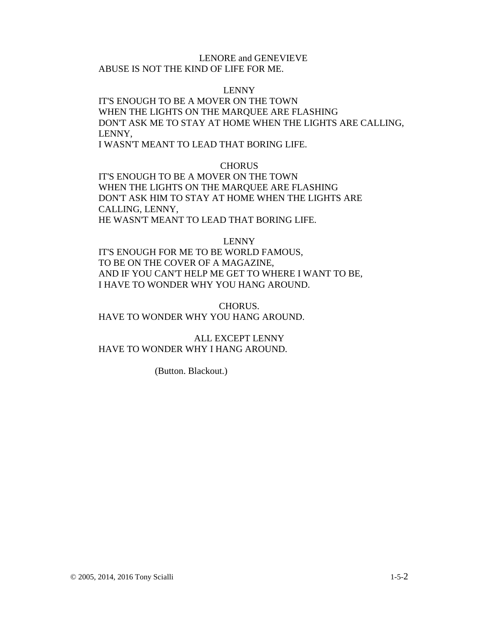#### LENORE and GENEVIEVE

ABUSE IS NOT THE KIND OF LIFE FOR ME.

#### LENNY

IT'S ENOUGH TO BE A MOVER ON THE TOWN WHEN THE LIGHTS ON THE MARQUEE ARE FLASHING DON'T ASK ME TO STAY AT HOME WHEN THE LIGHTS ARE CALLING, LENNY,

I WASN'T MEANT TO LEAD THAT BORING LIFE.

#### **CHORUS**

IT'S ENOUGH TO BE A MOVER ON THE TOWN WHEN THE LIGHTS ON THE MARQUEE ARE FLASHING DON'T ASK HIM TO STAY AT HOME WHEN THE LIGHTS ARE CALLING, LENNY, HE WASN'T MEANT TO LEAD THAT BORING LIFE.

#### LENNY

IT'S ENOUGH FOR ME TO BE WORLD FAMOUS, TO BE ON THE COVER OF A MAGAZINE, AND IF YOU CAN'T HELP ME GET TO WHERE I WANT TO BE, I HAVE TO WONDER WHY YOU HANG AROUND.

CHORUS. HAVE TO WONDER WHY YOU HANG AROUND.

ALL EXCEPT LENNY HAVE TO WONDER WHY I HANG AROUND.

(Button. Blackout.)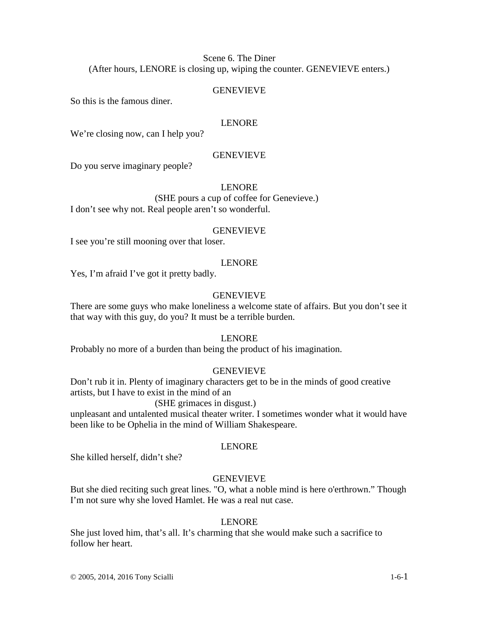Scene 6. The Diner (After hours, LENORE is closing up, wiping the counter. GENEVIEVE enters.)

#### GENEVIEVE

So this is the famous diner.

#### LENORE

We're closing now, can I help you?

#### **GENEVIEVE**

Do you serve imaginary people?

#### LENORE

 (SHE pours a cup of coffee for Genevieve.) I don't see why not. Real people aren't so wonderful.

#### GENEVIEVE

I see you're still mooning over that loser.

#### LENORE

Yes, I'm afraid I've got it pretty badly.

#### **GENEVIEVE**

There are some guys who make loneliness a welcome state of affairs. But you don't see it that way with this guy, do you? It must be a terrible burden.

#### LENORE

Probably no more of a burden than being the product of his imagination.

#### GENEVIEVE

Don't rub it in. Plenty of imaginary characters get to be in the minds of good creative artists, but I have to exist in the mind of an

#### (SHE grimaces in disgust.)

unpleasant and untalented musical theater writer. I sometimes wonder what it would have been like to be Ophelia in the mind of William Shakespeare.

#### LENORE

She killed herself, didn't she?

### **GENEVIEVE**

But she died reciting such great lines. "O, what a noble mind is here o'erthrown." Though I'm not sure why she loved Hamlet. He was a real nut case.

#### LENORE

She just loved him, that's all. It's charming that she would make such a sacrifice to follow her heart.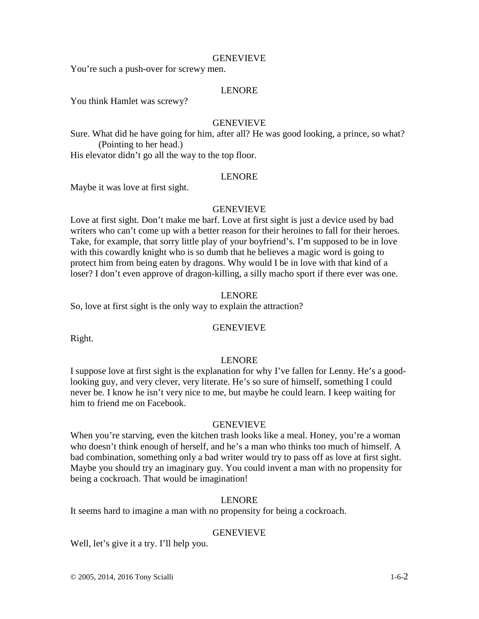## **GENEVIEVE**

You're such a push-over for screwy men.

# LENORE

You think Hamlet was screwy?

# GENEVIEVE

Sure. What did he have going for him, after all? He was good looking, a prince, so what? (Pointing to her head.)

His elevator didn't go all the way to the top floor.

# LENORE

Maybe it was love at first sight.

# **GENEVIEVE**

Love at first sight. Don't make me barf. Love at first sight is just a device used by bad writers who can't come up with a better reason for their heroines to fall for their heroes. Take, for example, that sorry little play of your boyfriend's. I'm supposed to be in love with this cowardly knight who is so dumb that he believes a magic word is going to protect him from being eaten by dragons. Why would I be in love with that kind of a loser? I don't even approve of dragon-killing, a silly macho sport if there ever was one.

# LENORE

So, love at first sight is the only way to explain the attraction?

# GENEVIEVE

Right.

## LENORE

I suppose love at first sight is the explanation for why I've fallen for Lenny. He's a goodlooking guy, and very clever, very literate. He's so sure of himself, something I could never be. I know he isn't very nice to me, but maybe he could learn. I keep waiting for him to friend me on Facebook.

## GENEVIEVE

When you're starving, even the kitchen trash looks like a meal. Honey, you're a woman who doesn't think enough of herself, and he's a man who thinks too much of himself. A bad combination, something only a bad writer would try to pass off as love at first sight. Maybe you should try an imaginary guy. You could invent a man with no propensity for being a cockroach. That would be imagination!

# LENORE

It seems hard to imagine a man with no propensity for being a cockroach.

# **GENEVIEVE**

Well, let's give it a try. I'll help you.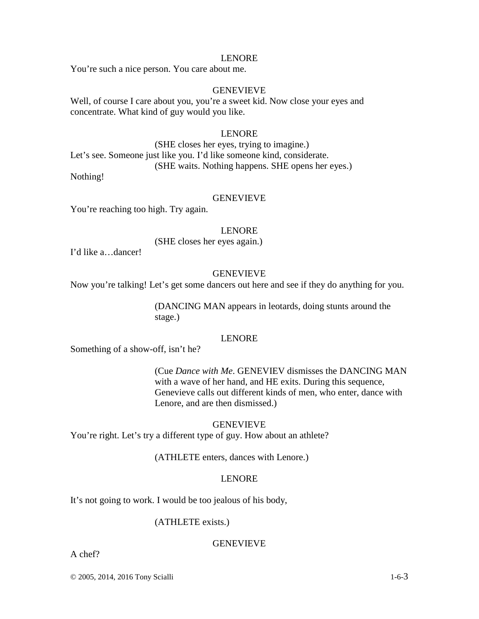#### LENORE

You're such a nice person. You care about me.

# GENEVIEVE

Well, of course I care about you, you're a sweet kid. Now close your eyes and concentrate. What kind of guy would you like.

# LENORE

(SHE closes her eyes, trying to imagine.) Let's see. Someone just like you. I'd like someone kind, considerate. (SHE waits. Nothing happens. SHE opens her eyes.)

Nothing!

# GENEVIEVE

You're reaching too high. Try again.

#### LENORE

(SHE closes her eyes again.)

I'd like a…dancer!

## GENEVIEVE

Now you're talking! Let's get some dancers out here and see if they do anything for you.

(DANCING MAN appears in leotards, doing stunts around the stage.)

# LENORE

Something of a show-off, isn't he?

(Cue *Dance with Me*. GENEVIEV dismisses the DANCING MAN with a wave of her hand, and HE exits. During this sequence, Genevieve calls out different kinds of men, who enter, dance with Lenore, and are then dismissed.)

## GENEVIEVE

You're right. Let's try a different type of guy. How about an athlete?

## (ATHLETE enters, dances with Lenore.)

# LENORE

It's not going to work. I would be too jealous of his body,

# (ATHLETE exists.)

## **GENEVIEVE**

A chef?

© 2005, 2014, 2016 Tony Scialli 1-6-3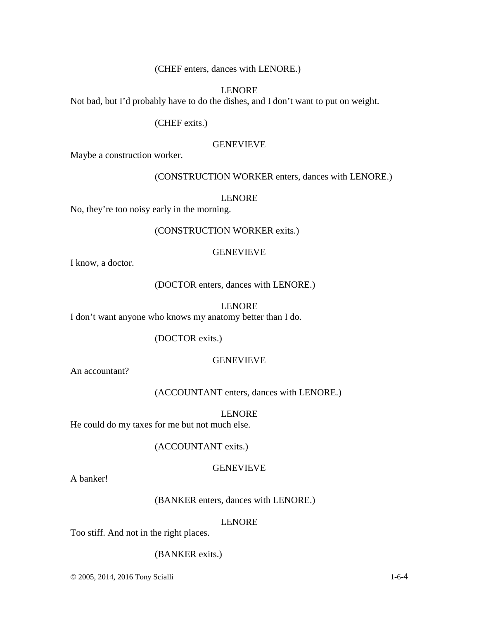(CHEF enters, dances with LENORE.)

# LENORE

Not bad, but I'd probably have to do the dishes, and I don't want to put on weight.

(CHEF exits.)

## GENEVIEVE

Maybe a construction worker.

## (CONSTRUCTION WORKER enters, dances with LENORE.)

#### LENORE

No, they're too noisy early in the morning.

# (CONSTRUCTION WORKER exits.)

#### GENEVIEVE

I know, a doctor.

(DOCTOR enters, dances with LENORE.)

#### LENORE

I don't want anyone who knows my anatomy better than I do.

## (DOCTOR exits.)

#### GENEVIEVE

An accountant?

(ACCOUNTANT enters, dances with LENORE.)

# LENORE

He could do my taxes for me but not much else.

## (ACCOUNTANT exits.)

#### GENEVIEVE

A banker!

# (BANKER enters, dances with LENORE.)

#### LENORE

Too stiff. And not in the right places.

## (BANKER exits.)

© 2005, 2014, 2016 Tony Scialli 1-6-4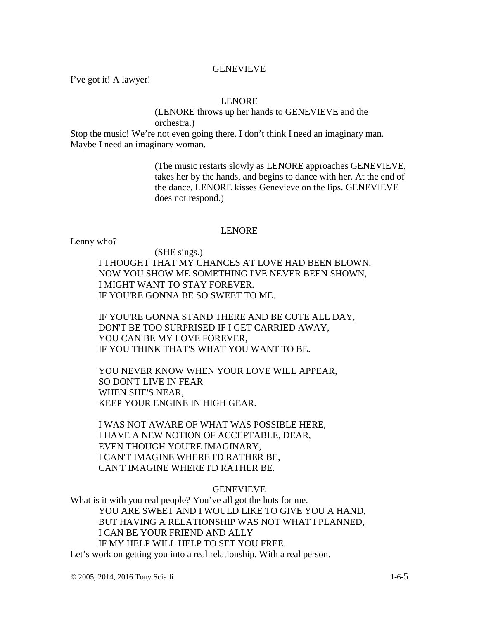# GENEVIEVE

I've got it! A lawyer!

# LENORE

(LENORE throws up her hands to GENEVIEVE and the orchestra.)

Stop the music! We're not even going there. I don't think I need an imaginary man. Maybe I need an imaginary woman.

> (The music restarts slowly as LENORE approaches GENEVIEVE, takes her by the hands, and begins to dance with her. At the end of the dance, LENORE kisses Genevieve on the lips. GENEVIEVE does not respond.)

# LENORE

Lenny who?

(SHE sings.) I THOUGHT THAT MY CHANCES AT LOVE HAD BEEN BLOWN, NOW YOU SHOW ME SOMETHING I'VE NEVER BEEN SHOWN, I MIGHT WANT TO STAY FOREVER. IF YOU'RE GONNA BE SO SWEET TO ME.

IF YOU'RE GONNA STAND THERE AND BE CUTE ALL DAY, DON'T BE TOO SURPRISED IF I GET CARRIED AWAY, YOU CAN BE MY LOVE FOREVER, IF YOU THINK THAT'S WHAT YOU WANT TO BE.

YOU NEVER KNOW WHEN YOUR LOVE WILL APPEAR, SO DON'T LIVE IN FEAR WHEN SHE'S NEAR, KEEP YOUR ENGINE IN HIGH GEAR.

I WAS NOT AWARE OF WHAT WAS POSSIBLE HERE, I HAVE A NEW NOTION OF ACCEPTABLE, DEAR, EVEN THOUGH YOU'RE IMAGINARY, I CAN'T IMAGINE WHERE I'D RATHER BE, CAN'T IMAGINE WHERE I'D RATHER BE.

# **GENEVIEVE**

What is it with you real people? You've all got the hots for me. YOU ARE SWEET AND I WOULD LIKE TO GIVE YOU A HAND, BUT HAVING A RELATIONSHIP WAS NOT WHAT I PLANNED, I CAN BE YOUR FRIEND AND ALLY IF MY HELP WILL HELP TO SET YOU FREE. Let's work on getting you into a real relationship. With a real person.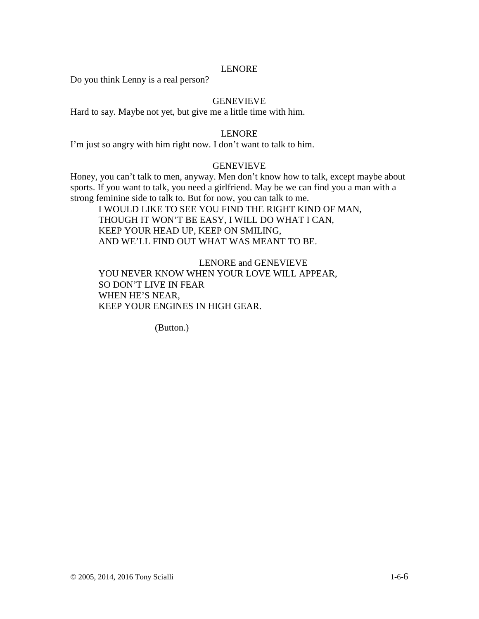# LENORE

Do you think Lenny is a real person?

# **GENEVIEVE**

Hard to say. Maybe not yet, but give me a little time with him.

# LENORE

I'm just so angry with him right now. I don't want to talk to him.

# GENEVIEVE

Honey, you can't talk to men, anyway. Men don't know how to talk, except maybe about sports. If you want to talk, you need a girlfriend. May be we can find you a man with a strong feminine side to talk to. But for now, you can talk to me.

I WOULD LIKE TO SEE YOU FIND THE RIGHT KIND OF MAN, THOUGH IT WON'T BE EASY, I WILL DO WHAT I CAN, KEEP YOUR HEAD UP, KEEP ON SMILING, AND WE'LL FIND OUT WHAT WAS MEANT TO BE.

LENORE and GENEVIEVE YOU NEVER KNOW WHEN YOUR LOVE WILL APPEAR, SO DON'T LIVE IN FEAR WHEN HE'S NEAR, KEEP YOUR ENGINES IN HIGH GEAR.

(Button.)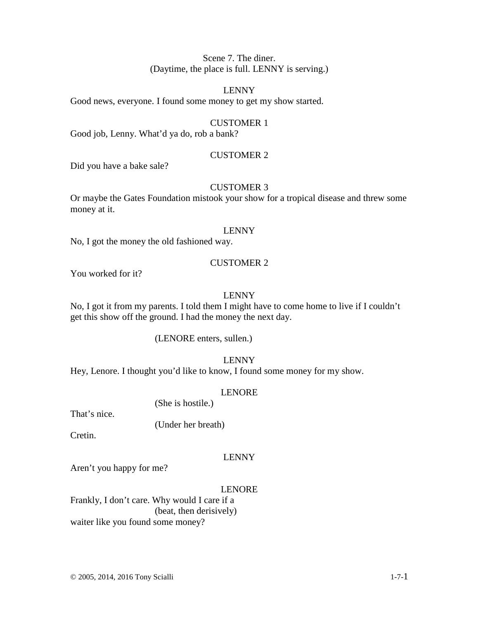# Scene 7. The diner. (Daytime, the place is full. LENNY is serving.)

# LENNY

Good news, everyone. I found some money to get my show started.

# CUSTOMER 1

Good job, Lenny. What'd ya do, rob a bank?

# CUSTOMER 2

Did you have a bake sale?

# CUSTOMER 3

Or maybe the Gates Foundation mistook your show for a tropical disease and threw some money at it.

#### LENNY

No, I got the money the old fashioned way.

# CUSTOMER 2

You worked for it?

# LENNY

No, I got it from my parents. I told them I might have to come home to live if I couldn't get this show off the ground. I had the money the next day.

(LENORE enters, sullen.)

## LENNY

Hey, Lenore. I thought you'd like to know, I found some money for my show.

## LENORE

(She is hostile.)

That's nice.

(Under her breath)

Cretin.

# LENNY

Aren't you happy for me?

# LENORE

Frankly, I don't care. Why would I care if a (beat, then derisively) waiter like you found some money?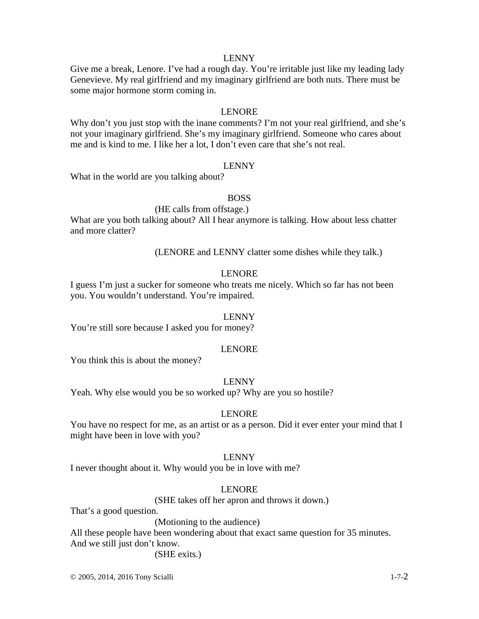# LENNY

Give me a break, Lenore. I've had a rough day. You're irritable just like my leading lady Genevieve. My real girlfriend and my imaginary girlfriend are both nuts. There must be some major hormone storm coming in.

# LENORE

Why don't you just stop with the inane comments? I'm not your real girlfriend, and she's not your imaginary girlfriend. She's my imaginary girlfriend. Someone who cares about me and is kind to me. I like her a lot, I don't even care that she's not real.

## LENNY

What in the world are you talking about?

## BOSS

#### (HE calls from offstage.)

What are you both talking about? All I hear anymore is talking. How about less chatter and more clatter?

(LENORE and LENNY clatter some dishes while they talk.)

# LENORE

I guess I'm just a sucker for someone who treats me nicely. Which so far has not been you. You wouldn't understand. You're impaired.

#### LENNY

You're still sore because I asked you for money?

## LENORE

You think this is about the money?

#### LENNY

Yeah. Why else would you be so worked up? Why are you so hostile?

## LENORE

You have no respect for me, as an artist or as a person. Did it ever enter your mind that I might have been in love with you?

## LENNY

I never thought about it. Why would you be in love with me?

#### LENORE

(SHE takes off her apron and throws it down.)

That's a good question.

(Motioning to the audience)

All these people have been wondering about that exact same question for 35 minutes. And we still just don't know.

(SHE exits*.*)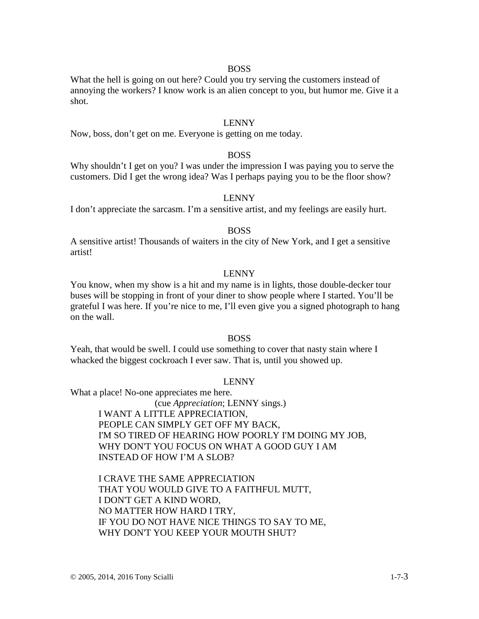## BOSS

What the hell is going on out here? Could you try serving the customers instead of annoying the workers? I know work is an alien concept to you, but humor me. Give it a shot.

# LENNY

Now, boss, don't get on me. Everyone is getting on me today.

## BOSS

Why shouldn't I get on you? I was under the impression I was paying you to serve the customers. Did I get the wrong idea? Was I perhaps paying you to be the floor show?

## LENNY

I don't appreciate the sarcasm. I'm a sensitive artist, and my feelings are easily hurt.

## BOSS

A sensitive artist! Thousands of waiters in the city of New York, and I get a sensitive artist!

## LENNY

You know, when my show is a hit and my name is in lights, those double-decker tour buses will be stopping in front of your diner to show people where I started. You'll be grateful I was here. If you're nice to me, I'll even give you a signed photograph to hang on the wall.

# BOSS

Yeah, that would be swell. I could use something to cover that nasty stain where I whacked the biggest cockroach I ever saw. That is, until you showed up.

## LENNY

What a place! No-one appreciates me here.

(cue *Appreciation*; LENNY sings.) I WANT A LITTLE APPRECIATION, PEOPLE CAN SIMPLY GET OFF MY BACK, I'M SO TIRED OF HEARING HOW POORLY I'M DOING MY JOB, WHY DON'T YOU FOCUS ON WHAT A GOOD GUY I AM INSTEAD OF HOW I'M A SLOB?

I CRAVE THE SAME APPRECIATION THAT YOU WOULD GIVE TO A FAITHFUL MUTT, I DON'T GET A KIND WORD, NO MATTER HOW HARD I TRY, IF YOU DO NOT HAVE NICE THINGS TO SAY TO ME, WHY DON'T YOU KEEP YOUR MOUTH SHUT?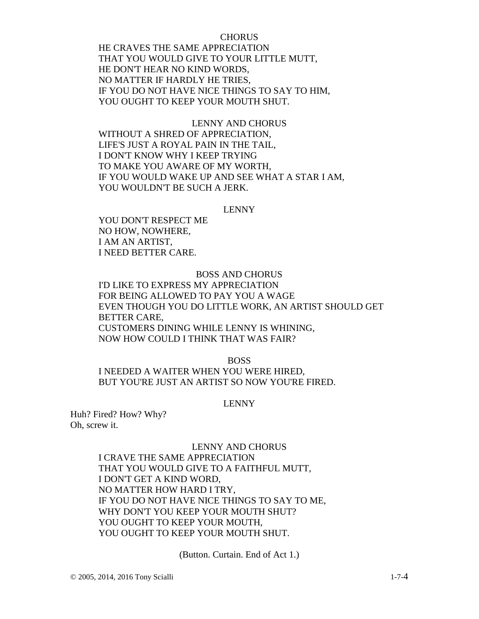# **CHORUS**

HE CRAVES THE SAME APPRECIATION THAT YOU WOULD GIVE TO YOUR LITTLE MUTT, HE DON'T HEAR NO KIND WORDS, NO MATTER IF HARDLY HE TRIES, IF YOU DO NOT HAVE NICE THINGS TO SAY TO HIM, YOU OUGHT TO KEEP YOUR MOUTH SHUT.

# LENNY AND CHORUS WITHOUT A SHRED OF APPRECIATION, LIFE'S JUST A ROYAL PAIN IN THE TAIL, I DON'T KNOW WHY I KEEP TRYING TO MAKE YOU AWARE OF MY WORTH, IF YOU WOULD WAKE UP AND SEE WHAT A STAR I AM, YOU WOULDN'T BE SUCH A JERK.

#### LENNY

YOU DON'T RESPECT ME NO HOW, NOWHERE, I AM AN ARTIST, I NEED BETTER CARE.

## BOSS AND CHORUS

I'D LIKE TO EXPRESS MY APPRECIATION FOR BEING ALLOWED TO PAY YOU A WAGE EVEN THOUGH YOU DO LITTLE WORK, AN ARTIST SHOULD GET BETTER CARE, CUSTOMERS DINING WHILE LENNY IS WHINING, NOW HOW COULD I THINK THAT WAS FAIR?

BOSS

I NEEDED A WAITER WHEN YOU WERE HIRED, BUT YOU'RE JUST AN ARTIST SO NOW YOU'RE FIRED.

## LENNY

Huh? Fired? How? Why? Oh, screw it.

## LENNY AND CHORUS

I CRAVE THE SAME APPRECIATION THAT YOU WOULD GIVE TO A FAITHFUL MUTT, I DON'T GET A KIND WORD, NO MATTER HOW HARD I TRY, IF YOU DO NOT HAVE NICE THINGS TO SAY TO ME, WHY DON'T YOU KEEP YOUR MOUTH SHUT? YOU OUGHT TO KEEP YOUR MOUTH. YOU OUGHT TO KEEP YOUR MOUTH SHUT.

(Button. Curtain. End of Act 1.)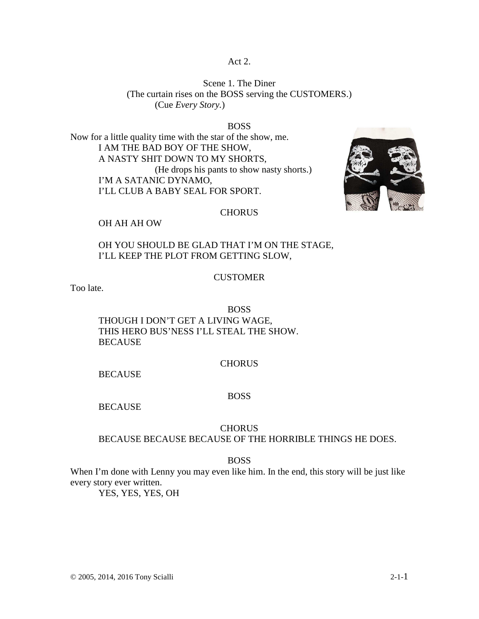# Act 2.

Scene 1. The Diner (The curtain rises on the BOSS serving the CUSTOMERS.) (Cue *Every Story.*)

#### BOSS

Now for a little quality time with the star of the show, me. I AM THE BAD BOY OF THE SHOW, A NASTY SHIT DOWN TO MY SHORTS, (He drops his pants to show nasty shorts.) I'M A SATANIC DYNAMO, I'LL CLUB A BABY SEAL FOR SPORT.



# CHORUS

#### OH AH AH OW

# OH YOU SHOULD BE GLAD THAT I'M ON THE STAGE, I'LL KEEP THE PLOT FROM GETTING SLOW,

## CUSTOMER

Too late.

## BOSS

THOUGH I DON'T GET A LIVING WAGE, THIS HERO BUS'NESS I'LL STEAL THE SHOW. **BECAUSE** 

## **CHORUS**

BECAUSE

## BOSS

**BECAUSE** 

# CHORUS

BECAUSE BECAUSE BECAUSE OF THE HORRIBLE THINGS HE DOES.

### BOSS

When I'm done with Lenny you may even like him. In the end, this story will be just like every story ever written.

YES, YES, YES, OH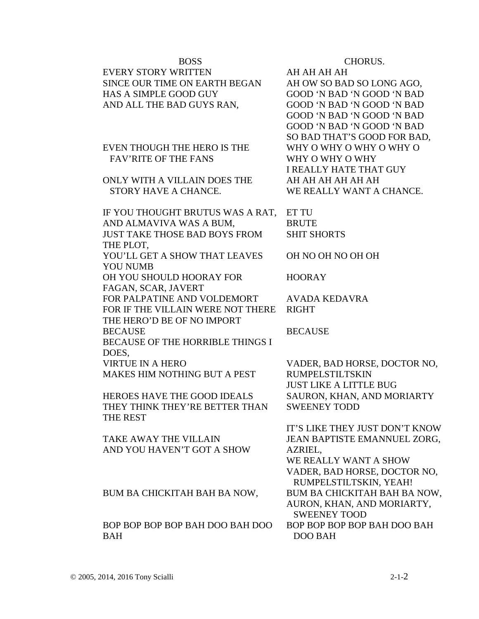| <b>BOSS</b>                                        | CHORUS.                        |
|----------------------------------------------------|--------------------------------|
| <b>EVERY STORY WRITTEN</b>                         | AH AH AH AH                    |
| SINCE OUR TIME ON EARTH BEGAN                      | AH OW SO BAD SO LONG AGO,      |
| <b>HAS A SIMPLE GOOD GUY</b>                       | GOOD 'N BAD 'N GOOD 'N BAD     |
| AND ALL THE BAD GUYS RAN,                          | GOOD 'N BAD 'N GOOD 'N BAD     |
|                                                    | GOOD 'N BAD 'N GOOD 'N BAD     |
|                                                    | GOOD 'N BAD 'N GOOD 'N BAD     |
|                                                    | SO BAD THAT'S GOOD FOR BAD,    |
| EVEN THOUGH THE HERO IS THE                        | WHY O WHY O WHY O WHY O        |
| <b>FAV'RITE OF THE FANS</b>                        | WHY O WHY O WHY                |
|                                                    | <b>I REALLY HATE THAT GUY</b>  |
| ONLY WITH A VILLAIN DOES THE                       | AH AH AH AH AH AH              |
| STORY HAVE A CHANCE.                               | WE REALLY WANT A CHANCE.       |
|                                                    |                                |
| IF YOU THOUGHT BRUTUS WAS A RAT,                   | <b>ETTU</b>                    |
| AND ALMAVIVA WAS A BUM,                            | <b>BRUTE</b>                   |
| <b>JUST TAKE THOSE BAD BOYS FROM</b>               | <b>SHIT SHORTS</b>             |
| THE PLOT,                                          |                                |
| YOU'LL GET A SHOW THAT LEAVES                      | OH NO OH NO OH OH              |
| YOU NUMB                                           |                                |
| OH YOU SHOULD HOORAY FOR                           | <b>HOORAY</b>                  |
| FAGAN, SCAR, JAVERT<br>FOR PALPATINE AND VOLDEMORT | <b>AVADA KEDAVRA</b>           |
| FOR IF THE VILLAIN WERE NOT THERE                  | <b>RIGHT</b>                   |
| THE HERO'D BE OF NO IMPORT                         |                                |
| <b>BECAUSE</b>                                     | <b>BECAUSE</b>                 |
| <b>BECAUSE OF THE HORRIBLE THINGS I</b>            |                                |
| DOES,                                              |                                |
| <b>VIRTUE IN A HERO</b>                            | VADER, BAD HORSE, DOCTOR NO,   |
| <b>MAKES HIM NOTHING BUT A PEST</b>                | <b>RUMPELSTILTSKIN</b>         |
|                                                    | <b>JUST LIKE A LITTLE BUG</b>  |
| HEROES HAVE THE GOOD IDEALS                        | SAURON, KHAN, AND MORIARTY     |
| THEY THINK THEY'RE BETTER THAN                     | <b>SWEENEY TODD</b>            |
| <b>THE REST</b>                                    |                                |
|                                                    | IT'S LIKE THEY JUST DON'T KNOW |
| <b>TAKE AWAY THE VILLAIN</b>                       | JEAN BAPTISTE EMANNUEL ZORG,   |
| AND YOU HAVEN'T GOT A SHOW                         | AZRIEL,                        |
|                                                    | WE REALLY WANT A SHOW          |
|                                                    | VADER, BAD HORSE, DOCTOR NO,   |
|                                                    | RUMPELSTILTSKIN, YEAH!         |
| BUM BA CHICKITAH BAH BA NOW,                       | BUM BA CHICKITAH BAH BA NOW,   |
|                                                    | AURON, KHAN, AND MORIARTY,     |
|                                                    | <b>SWEENEY TOOD</b>            |
| BOP BOP BOP BOP BAH DOO BAH DOO                    | BOP BOP BOP BOP BAH DOO BAH    |
| <b>BAH</b>                                         | <b>DOO BAH</b>                 |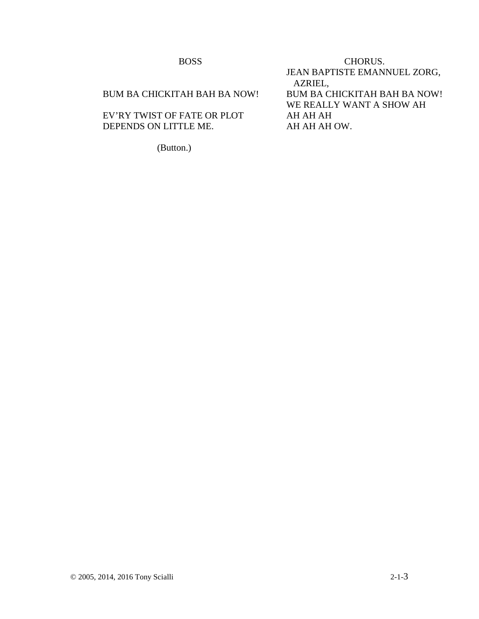| <b>BOSS</b>                  | CHORUS.                             |
|------------------------------|-------------------------------------|
|                              | JEAN BAPTISTE EMANNUEL ZORG,        |
|                              | AZRIEL,                             |
| BUM BA CHICKITAH BAH BA NOW! | <b>BUM BA CHICKITAH BAH BA NOW!</b> |
|                              | WE REALLY WANT A SHOW AH            |
| EV'RY TWIST OF FATE OR PLOT  | AH AH AH                            |
| DEPENDS ON LITTLE ME.        | AH AH AH OW.                        |
|                              |                                     |

(Button.)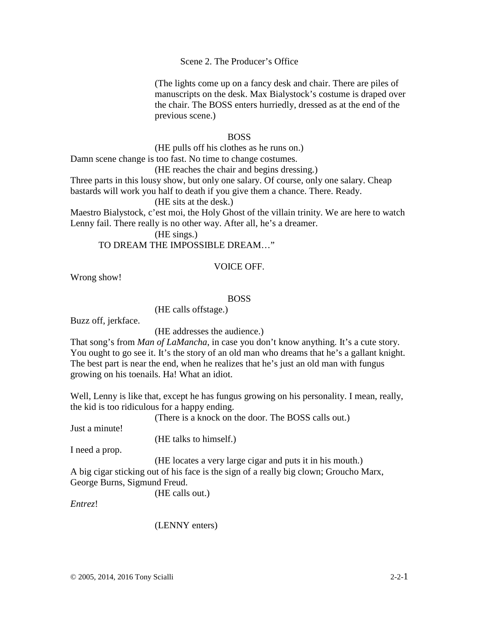Scene 2. The Producer's Office

(The lights come up on a fancy desk and chair. There are piles of manuscripts on the desk. Max Bialystock's costume is draped over the chair. The BOSS enters hurriedly, dressed as at the end of the previous scene.)

# BOSS

(HE pulls off his clothes as he runs on.) Damn scene change is too fast. No time to change costumes.

(HE reaches the chair and begins dressing.)

Three parts in this lousy show, but only one salary. Of course, only one salary. Cheap bastards will work you half to death if you give them a chance. There. Ready. (HE sits at the desk.)

Maestro Bialystock, c'est moi, the Holy Ghost of the villain trinity. We are here to watch Lenny fail. There really is no other way. After all, he's a dreamer.

(HE sings.) TO DREAM THE IMPOSSIBLE DREAM…"

# VOICE OFF.

Wrong show!

# BOSS

(HE calls offstage.)

Buzz off, jerkface.

(HE addresses the audience.)

That song's from *Man of LaMancha*, in case you don't know anything. It's a cute story. You ought to go see it. It's the story of an old man who dreams that he's a gallant knight. The best part is near the end, when he realizes that he's just an old man with fungus growing on his toenails. Ha! What an idiot.

Well, Lenny is like that, except he has fungus growing on his personality. I mean, really, the kid is too ridiculous for a happy ending.

(There is a knock on the door. The BOSS calls out.)

Just a minute!

(HE talks to himself.)

I need a prop.

(HE locates a very large cigar and puts it in his mouth.)

A big cigar sticking out of his face is the sign of a really big clown; Groucho Marx, George Burns, Sigmund Freud.

(HE calls out.)

*Entrez*!

(LENNY enters)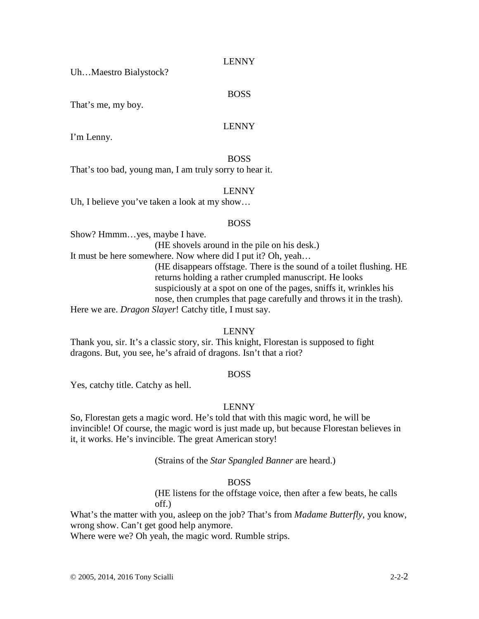Uh…Maestro Bialystock?

# BOSS

That's me, my boy.

# LENNY

I'm Lenny.

# BOSS

That's too bad, young man, I am truly sorry to hear it.

# LENNY

Uh, I believe you've taken a look at my show…

# BOSS

Show? Hmmm…yes, maybe I have.

(HE shovels around in the pile on his desk.)

It must be here somewhere. Now where did I put it? Oh, yeah…

(HE disappears offstage. There is the sound of a toilet flushing. HE returns holding a rather crumpled manuscript. He looks suspiciously at a spot on one of the pages, sniffs it, wrinkles his nose, then crumples that page carefully and throws it in the trash).

Here we are. *Dragon Slayer*! Catchy title, I must say.

# LENNY

Thank you, sir. It's a classic story, sir. This knight, Florestan is supposed to fight dragons. But, you see, he's afraid of dragons. Isn't that a riot?

# BOSS

Yes, catchy title. Catchy as hell.

# LENNY

So, Florestan gets a magic word. He's told that with this magic word, he will be invincible! Of course, the magic word is just made up, but because Florestan believes in it, it works. He's invincible. The great American story!

(Strains of the *Star Spangled Banner* are heard.)

# BOSS

(HE listens for the offstage voice, then after a few beats, he calls off.)

What's the matter with you, asleep on the job? That's from *Madame Butterfly*, you know, wrong show. Can't get good help anymore.

Where were we? Oh yeah, the magic word. Rumble strips.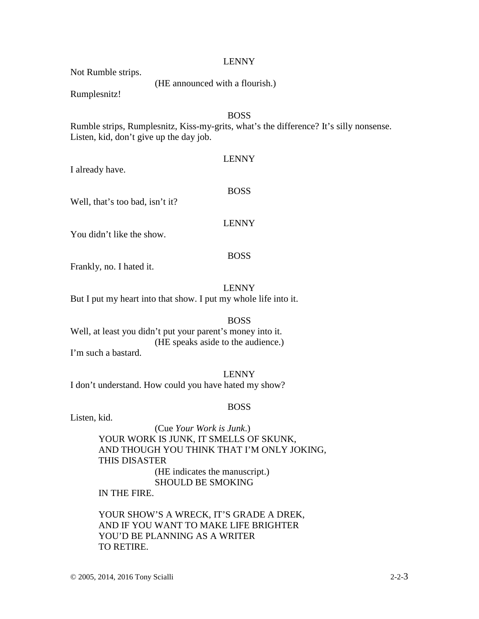# LENNY

Not Rumble strips.

(HE announced with a flourish.)

Rumplesnitz!

I already have.

# BOSS

Rumble strips, Rumplesnitz, Kiss-my-grits, what's the difference? It's silly nonsense. Listen, kid, don't give up the day job.

LENNY

Well, that's too bad, isn't it?

# LENNY

BOSS

You didn't like the show.

## BOSS

Frankly, no. I hated it.

LENNY

But I put my heart into that show. I put my whole life into it.

## BOSS

Well, at least you didn't put your parent's money into it. (HE speaks aside to the audience.) I'm such a bastard.

LENNY I don't understand. How could you have hated my show?

# BOSS

Listen, kid.

(Cue *Your Work is Junk*.) YOUR WORK IS JUNK, IT SMELLS OF SKUNK, AND THOUGH YOU THINK THAT I'M ONLY JOKING, THIS DISASTER (HE indicates the manuscript.) SHOULD BE SMOKING IN THE FIRE.

YOUR SHOW'S A WRECK, IT'S GRADE A DREK, AND IF YOU WANT TO MAKE LIFE BRIGHTER YOU'D BE PLANNING AS A WRITER TO RETIRE.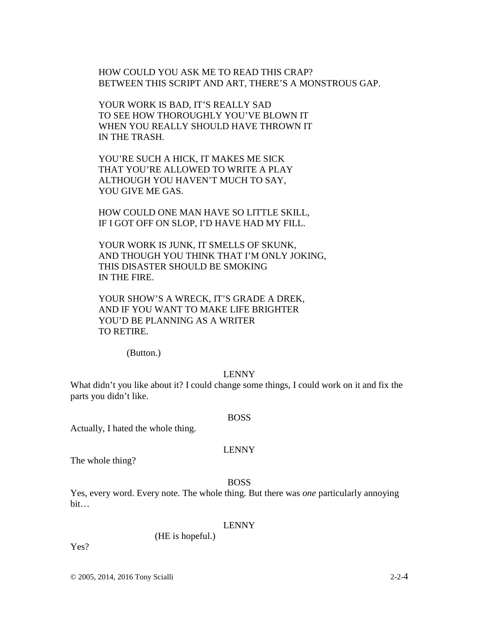HOW COULD YOU ASK ME TO READ THIS CRAP? BETWEEN THIS SCRIPT AND ART, THERE'S A MONSTROUS GAP.

YOUR WORK IS BAD, IT'S REALLY SAD TO SEE HOW THOROUGHLY YOU'VE BLOWN IT WHEN YOU REALLY SHOULD HAVE THROWN IT IN THE TRASH.

YOU'RE SUCH A HICK, IT MAKES ME SICK THAT YOU'RE ALLOWED TO WRITE A PLAY ALTHOUGH YOU HAVEN'T MUCH TO SAY, YOU GIVE ME GAS.

HOW COULD ONE MAN HAVE SO LITTLE SKILL, IF I GOT OFF ON SLOP, I'D HAVE HAD MY FILL.

YOUR WORK IS JUNK, IT SMELLS OF SKUNK, AND THOUGH YOU THINK THAT I'M ONLY JOKING, THIS DISASTER SHOULD BE SMOKING IN THE FIRE.

YOUR SHOW'S A WRECK, IT'S GRADE A DREK, AND IF YOU WANT TO MAKE LIFE BRIGHTER YOU'D BE PLANNING AS A WRITER TO RETIRE.

(Button.)

# LENNY

What didn't you like about it? I could change some things, I could work on it and fix the parts you didn't like.

Actually, I hated the whole thing.

# LENNY

BOSS

The whole thing?

# BOSS

Yes, every word. Every note. The whole thing. But there was *one* particularly annoying bit…

## LENNY

(HE is hopeful.)

Yes?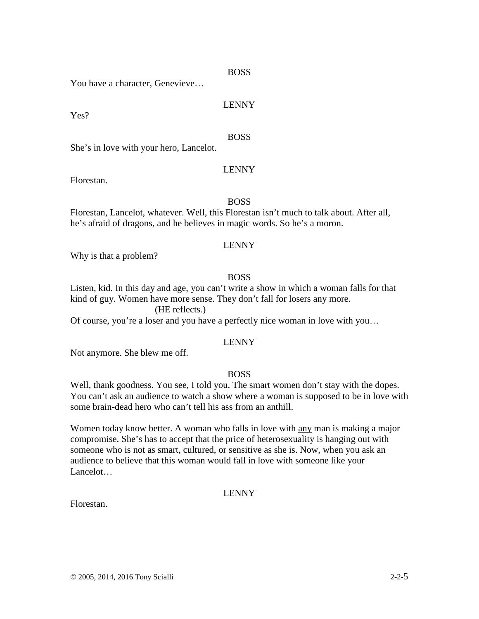# BOSS

You have a character, Genevieve…

# LENNY

Yes?

# BOSS

She's in love with your hero, Lancelot.

# LENNY

Florestan.

## BOSS

Florestan, Lancelot, whatever. Well, this Florestan isn't much to talk about. After all, he's afraid of dragons, and he believes in magic words. So he's a moron.

# LENNY

Why is that a problem?

# BOSS

Listen, kid. In this day and age, you can't write a show in which a woman falls for that kind of guy. Women have more sense. They don't fall for losers any more.

(HE reflects*.*)

Of course, you're a loser and you have a perfectly nice woman in love with you…

## LENNY

Not anymore. She blew me off.

# BOSS

Well, thank goodness. You see, I told you. The smart women don't stay with the dopes. You can't ask an audience to watch a show where a woman is supposed to be in love with some brain-dead hero who can't tell his ass from an anthill.

Women today know better. A woman who falls in love with any man is making a major compromise. She's has to accept that the price of heterosexuality is hanging out with someone who is not as smart, cultured, or sensitive as she is. Now, when you ask an audience to believe that this woman would fall in love with someone like your Lancelot…

# LENNY

Florestan.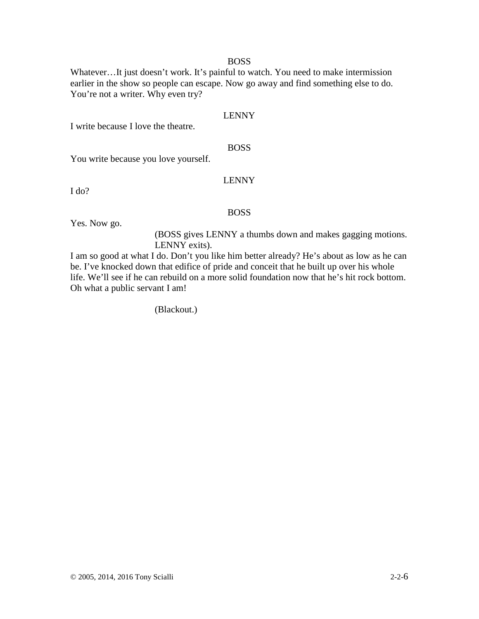# BOSS

Whatever…It just doesn't work. It's painful to watch. You need to make intermission earlier in the show so people can escape. Now go away and find something else to do. You're not a writer. Why even try?

# LENNY

I write because I love the theatre.

# BOSS

You write because you love yourself.

# LENNY

I do?

#### BOSS

Yes. Now go.

(BOSS gives LENNY a thumbs down and makes gagging motions. LENNY exits).

I am so good at what I do. Don't you like him better already? He's about as low as he can be. I've knocked down that edifice of pride and conceit that he built up over his whole life. We'll see if he can rebuild on a more solid foundation now that he's hit rock bottom. Oh what a public servant I am!

(Blackout.)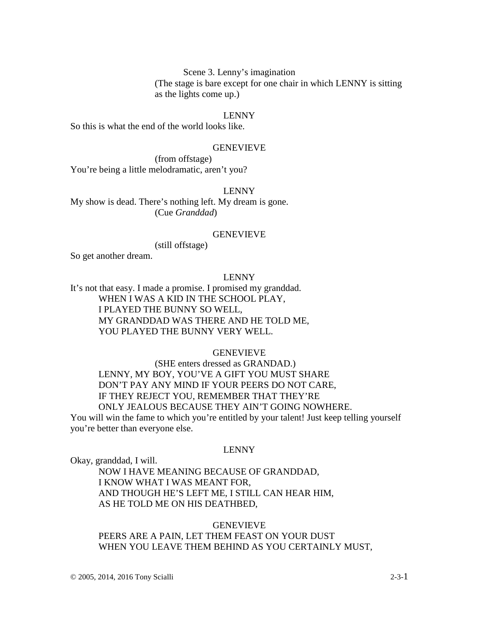Scene 3. Lenny's imagination (The stage is bare except for one chair in which LENNY is sitting as the lights come up.)

## LENNY

So this is what the end of the world looks like.

# GENEVIEVE

 (from offstage) You're being a little melodramatic, aren't you?

#### LENNY

My show is dead. There's nothing left. My dream is gone. (Cue *Granddad*)

#### GENEVIEVE

(still offstage)

So get another dream.

## LENNY

It's not that easy. I made a promise. I promised my granddad. WHEN I WAS A KID IN THE SCHOOL PLAY, I PLAYED THE BUNNY SO WELL, MY GRANDDAD WAS THERE AND HE TOLD ME, YOU PLAYED THE BUNNY VERY WELL.

#### GENEVIEVE

 (SHE enters dressed as GRANDAD.) LENNY, MY BOY, YOU'VE A GIFT YOU MUST SHARE DON'T PAY ANY MIND IF YOUR PEERS DO NOT CARE, IF THEY REJECT YOU, REMEMBER THAT THEY'RE ONLY JEALOUS BECAUSE THEY AIN'T GOING NOWHERE. You will win the fame to which you're entitled by your talent! Just keep telling yourself

you're better than everyone else.

#### LENNY

Okay, granddad, I will.

NOW I HAVE MEANING BECAUSE OF GRANDDAD, I KNOW WHAT I WAS MEANT FOR, AND THOUGH HE'S LEFT ME, I STILL CAN HEAR HIM, AS HE TOLD ME ON HIS DEATHBED,

GENEVIEVE PEERS ARE A PAIN, LET THEM FEAST ON YOUR DUST WHEN YOU LEAVE THEM BEHIND AS YOU CERTAINLY MUST,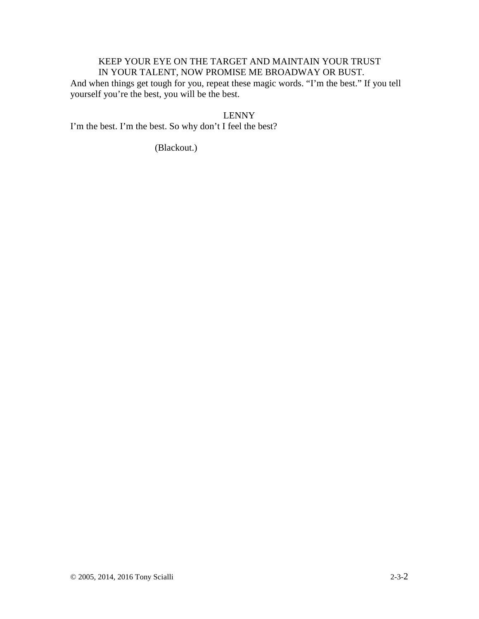# KEEP YOUR EYE ON THE TARGET AND MAINTAIN YOUR TRUST IN YOUR TALENT, NOW PROMISE ME BROADWAY OR BUST.

And when things get tough for you, repeat these magic words. "I'm the best." If you tell yourself you're the best, you will be the best.

LENNY

I'm the best. I'm the best. So why don't I feel the best?

(Blackout.)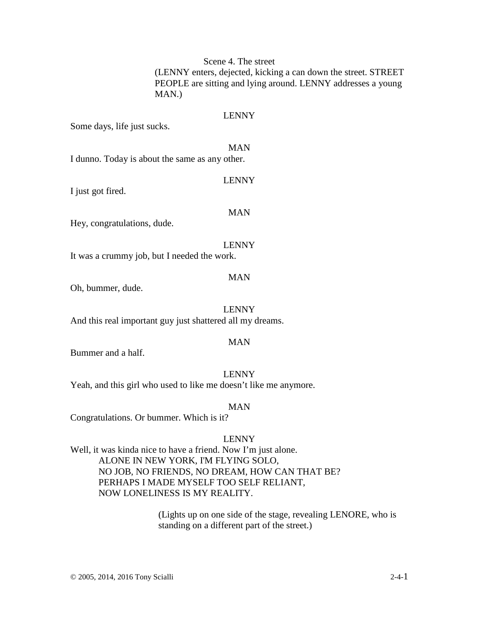Scene 4. The street

(LENNY enters, dejected, kicking a can down the street. STREET PEOPLE are sitting and lying around. LENNY addresses a young MAN.)

## LENNY

Some days, life just sucks.

#### MAN

LENNY

I dunno. Today is about the same as any other.

I just got fired.

#### MAN

Hey, congratulations, dude.

LENNY It was a crummy job, but I needed the work.

## MAN

Oh, bummer, dude.

LENNY

And this real important guy just shattered all my dreams.

## MAN

Bummer and a half.

LENNY Yeah, and this girl who used to like me doesn't like me anymore.

MAN

Congratulations. Or bummer. Which is it?

# LENNY

Well, it was kinda nice to have a friend. Now I'm just alone. ALONE IN NEW YORK, I'M FLYING SOLO, NO JOB, NO FRIENDS, NO DREAM, HOW CAN THAT BE? PERHAPS I MADE MYSELF TOO SELF RELIANT, NOW LONELINESS IS MY REALITY.

> (Lights up on one side of the stage, revealing LENORE, who is standing on a different part of the street.)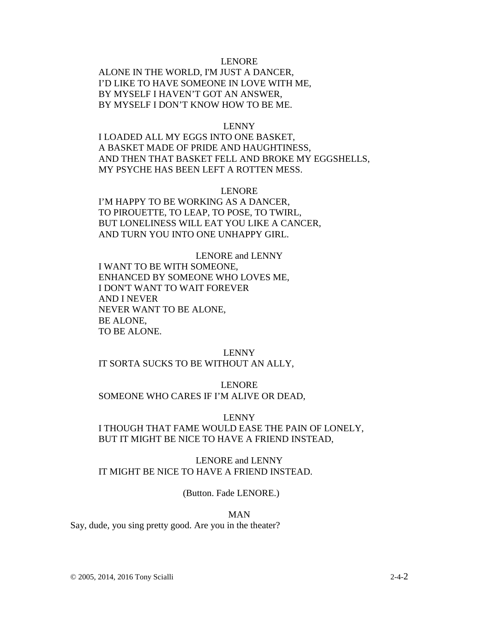# LENORE

ALONE IN THE WORLD, I'M JUST A DANCER, I'D LIKE TO HAVE SOMEONE IN LOVE WITH ME, BY MYSELF I HAVEN'T GOT AN ANSWER, BY MYSELF I DON'T KNOW HOW TO BE ME.

#### LENNY

I LOADED ALL MY EGGS INTO ONE BASKET, A BASKET MADE OF PRIDE AND HAUGHTINESS, AND THEN THAT BASKET FELL AND BROKE MY EGGSHELLS, MY PSYCHE HAS BEEN LEFT A ROTTEN MESS.

## LENORE

I'M HAPPY TO BE WORKING AS A DANCER, TO PIROUETTE, TO LEAP, TO POSE, TO TWIRL, BUT LONELINESS WILL EAT YOU LIKE A CANCER, AND TURN YOU INTO ONE UNHAPPY GIRL.

LENORE and LENNY I WANT TO BE WITH SOMEONE, ENHANCED BY SOMEONE WHO LOVES ME, I DON'T WANT TO WAIT FOREVER AND I NEVER NEVER WANT TO BE ALONE, BE ALONE, TO BE ALONE.

## LENNY

# IT SORTA SUCKS TO BE WITHOUT AN ALLY,

LENORE

## SOMEONE WHO CARES IF I'M ALIVE OR DEAD,

#### LENNY

I THOUGH THAT FAME WOULD EASE THE PAIN OF LONELY, BUT IT MIGHT BE NICE TO HAVE A FRIEND INSTEAD,

LENORE and LENNY IT MIGHT BE NICE TO HAVE A FRIEND INSTEAD.

(Button. Fade LENORE.)

#### MAN

Say, dude, you sing pretty good. Are you in the theater?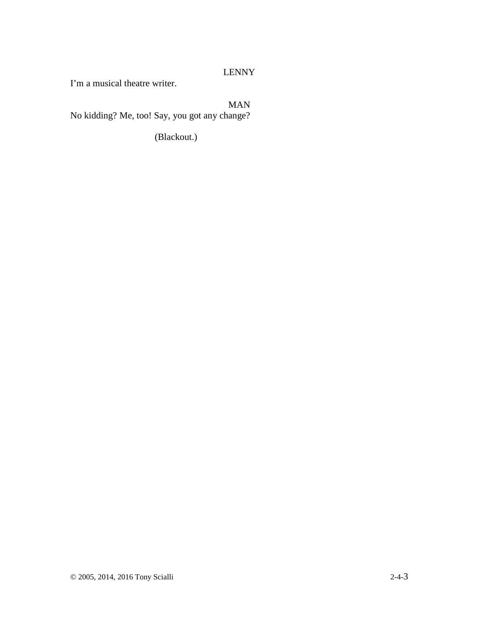# LENNY

I'm a musical theatre writer.

# MAN

No kidding? Me, too! Say, you got any change?

(Blackout.)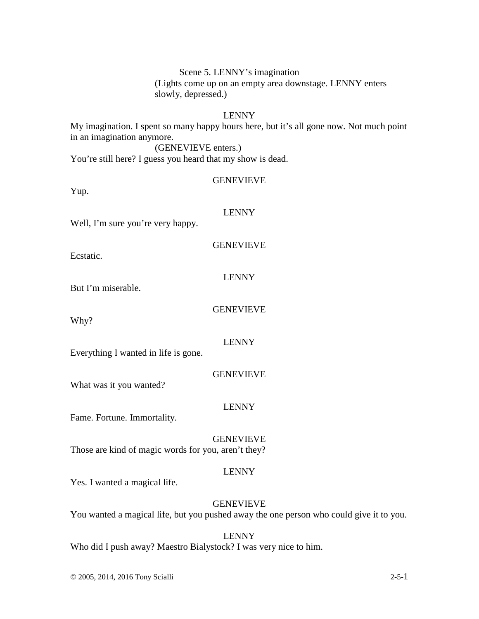Scene 5. LENNY's imagination (Lights come up on an empty area downstage. LENNY enters slowly, depressed.)

# LENNY

My imagination. I spent so many happy hours here, but it's all gone now. Not much point in an imagination anymore. (GENEVIEVE enters.)

You're still here? I guess you heard that my show is dead.

# GENEVIEVE

Yup.

#### LENNY

Well, I'm sure you're very happy.

GENEVIEVE

Ecstatic.

## LENNY

But I'm miserable.

# GENEVIEVE

Why?

## LENNY

Everything I wanted in life is gone.

# GENEVIEVE

What was it you wanted?

# LENNY

Fame. Fortune. Immortality.

GENEVIEVE

Those are kind of magic words for you, aren't they?

## LENNY

Yes. I wanted a magical life.

# GENEVIEVE

You wanted a magical life, but you pushed away the one person who could give it to you.

#### LENNY

Who did I push away? Maestro Bialystock? I was very nice to him.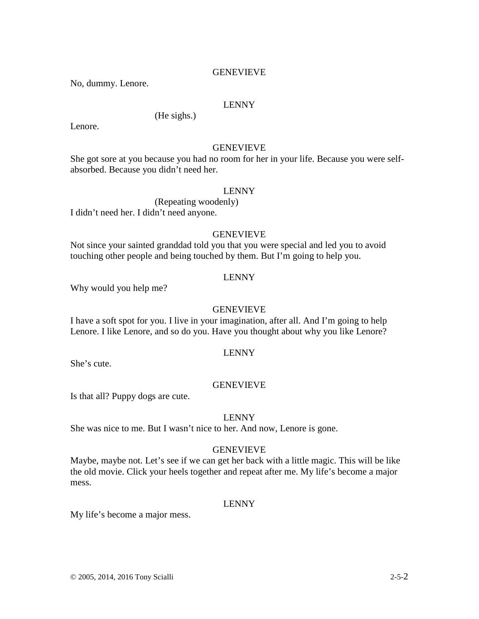# GENEVIEVE

No, dummy. Lenore.

# LENNY

(He sighs.)

Lenore.

# GENEVIEVE

She got sore at you because you had no room for her in your life. Because you were selfabsorbed. Because you didn't need her.

#### LENNY

 (Repeating woodenly) I didn't need her. I didn't need anyone.

# GENEVIEVE

Not since your sainted granddad told you that you were special and led you to avoid touching other people and being touched by them. But I'm going to help you.

## LENNY

Why would you help me?

# GENEVIEVE

I have a soft spot for you. I live in your imagination, after all. And I'm going to help Lenore. I like Lenore, and so do you. Have you thought about why you like Lenore?

# LENNY

She's cute.

## GENEVIEVE

Is that all? Puppy dogs are cute.

#### LENNY

She was nice to me. But I wasn't nice to her. And now, Lenore is gone.

## **GENEVIEVE**

Maybe, maybe not. Let's see if we can get her back with a little magic. This will be like the old movie. Click your heels together and repeat after me. My life's become a major mess.

# LENNY

My life's become a major mess.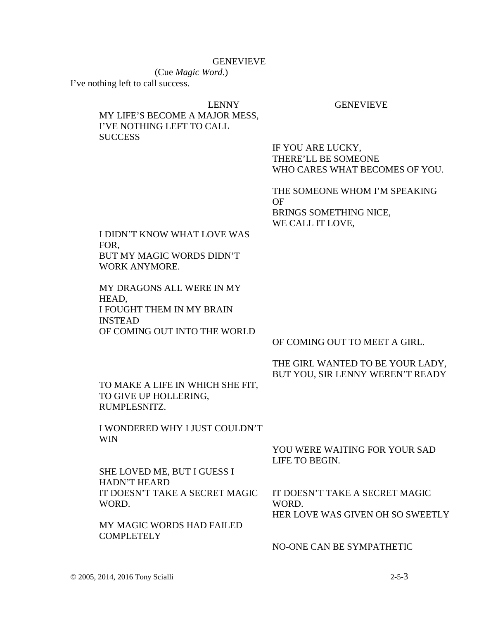## GENEVIEVE

(Cue *Magic Word*.) I've nothing left to call success.

## LENNY GENEVIEVE

# MY LIFE'S BECOME A MAJOR MESS, I'VE NOTHING LEFT TO CALL **SUCCESS**

IF YOU ARE LUCKY, THERE'LL BE SOMEONE WHO CARES WHAT BECOMES OF YOU.

THE SOMEONE WHOM I'M SPEAKING OF BRINGS SOMETHING NICE, WE CALL IT LOVE,

I DIDN'T KNOW WHAT LOVE WAS FOR, BUT MY MAGIC WORDS DIDN'T WORK ANYMORE.

MY DRAGONS ALL WERE IN MY HEAD, I FOUGHT THEM IN MY BRAIN INSTEAD OF COMING OUT INTO THE WORLD

OF COMING OUT TO MEET A GIRL.

# THE GIRL WANTED TO BE YOUR LADY, BUT YOU, SIR LENNY WEREN'T READY

TO MAKE A LIFE IN WHICH SHE FIT, TO GIVE UP HOLLERING, RUMPLESNITZ.

I WONDERED WHY I JUST COULDN'T WIN

> YOU WERE WAITING FOR YOUR SAD LIFE TO BEGIN.

SHE LOVED ME, BUT I GUESS I HADN'T HEARD IT DOESN'T TAKE A SECRET MAGIC WORD.

MY MAGIC WORDS HAD FAILED **COMPLETELY** 

IT DOESN'T TAKE A SECRET MAGIC WORD.

HER LOVE WAS GIVEN OH SO SWEETLY

NO-ONE CAN BE SYMPATHETIC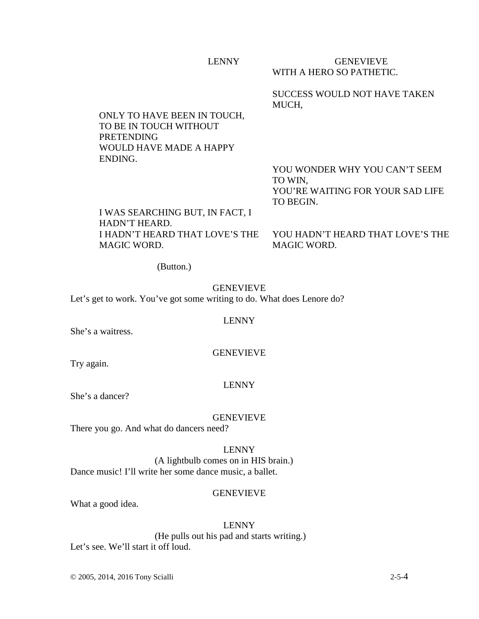| <b>LENNY</b> | <b>GENEVIEVE</b><br>WITH A HERO SO PATHETIC. |
|--------------|----------------------------------------------|
|              | SUCCESS WOULD NOT HAVE TAKEN<br>MUCH.        |

ONLY TO HAVE BEEN IN TOUCH, TO BE IN TOUCH WITHOUT PRETENDING WOULD HAVE MADE A HAPPY ENDING.

> YOU WONDER WHY YOU CAN'T SEEM TO WIN, YOU'RE WAITING FOR YOUR SAD LIFE TO BEGIN.

I WAS SEARCHING BUT, IN FACT, I HADN'T HEARD. I HADN'T HEARD THAT LOVE'S THE MAGIC WORD.

YOU HADN'T HEARD THAT LOVE'S THE MAGIC WORD.

(Button.)

GENEVIEVE Let's get to work. You've got some writing to do. What does Lenore do?

## LENNY

She's a waitress.

GENEVIEVE

Try again.

# LENNY

She's a dancer?

GENEVIEVE

There you go. And what do dancers need?

LENNY

(A lightbulb comes on in HIS brain.) Dance music! I'll write her some dance music, a ballet.

# **GENEVIEVE**

What a good idea.

# LENNY

 (He pulls out his pad and starts writing.) Let's see. We'll start it off loud.

© 2005, 2014, 2016 Tony Scialli 2-5-4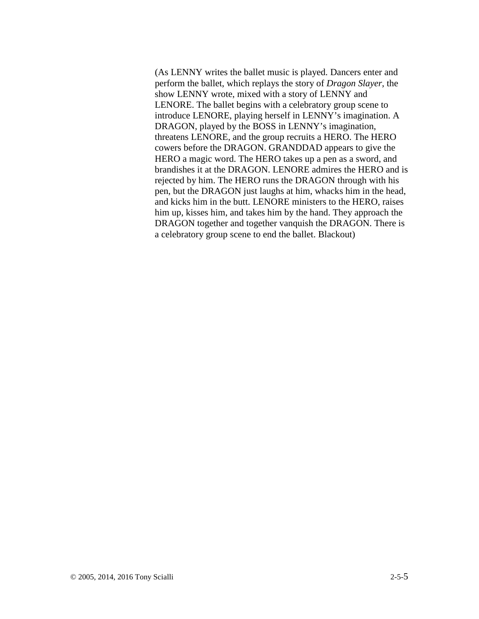(As LENNY writes the ballet music is played. Dancers enter and perform the ballet, which replays the story of *Dragon Slayer*, the show LENNY wrote, mixed with a story of LENNY and LENORE. The ballet begins with a celebratory group scene to introduce LENORE, playing herself in LENNY's imagination. A DRAGON, played by the BOSS in LENNY's imagination, threatens LENORE, and the group recruits a HERO. The HERO cowers before the DRAGON. GRANDDAD appears to give the HERO a magic word. The HERO takes up a pen as a sword, and brandishes it at the DRAGON. LENORE admires the HERO and is rejected by him. The HERO runs the DRAGON through with his pen, but the DRAGON just laughs at him, whacks him in the head, and kicks him in the butt. LENORE ministers to the HERO, raises him up, kisses him, and takes him by the hand. They approach the DRAGON together and together vanquish the DRAGON. There is a celebratory group scene to end the ballet. Blackout)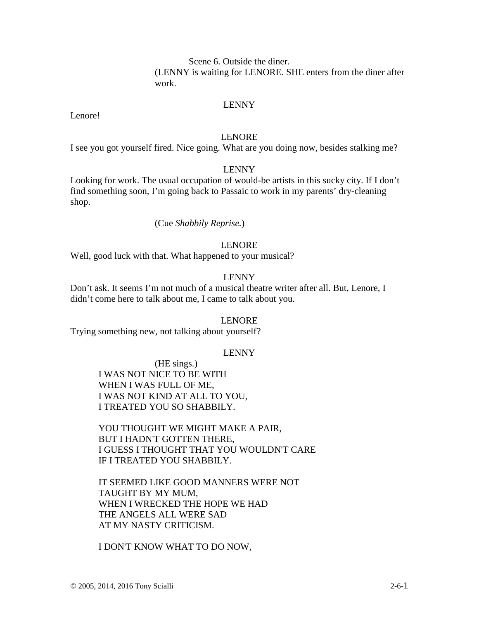Scene 6. Outside the diner. (LENNY is waiting for LENORE. SHE enters from the diner after work.

# LENNY

Lenore!

# LENORE

I see you got yourself fired. Nice going. What are you doing now, besides stalking me?

# LENNY

Looking for work. The usual occupation of would-be artists in this sucky city. If I don't find something soon, I'm going back to Passaic to work in my parents' dry-cleaning shop.

## (Cue *Shabbily Reprise.*)

## LENORE

Well, good luck with that. What happened to your musical?

## LENNY

Don't ask. It seems I'm not much of a musical theatre writer after all. But, Lenore, I didn't come here to talk about me, I came to talk about you.

#### LENORE

Trying something new, not talking about yourself?

#### LENNY

 (HE sings.) I WAS NOT NICE TO BE WITH WHEN I WAS FULL OF ME, I WAS NOT KIND AT ALL TO YOU, I TREATED YOU SO SHABBILY.

YOU THOUGHT WE MIGHT MAKE A PAIR, BUT I HADN'T GOTTEN THERE, I GUESS I THOUGHT THAT YOU WOULDN'T CARE IF I TREATED YOU SHABBILY.

IT SEEMED LIKE GOOD MANNERS WERE NOT TAUGHT BY MY MUM, WHEN I WRECKED THE HOPE WE HAD THE ANGELS ALL WERE SAD AT MY NASTY CRITICISM.

I DON'T KNOW WHAT TO DO NOW,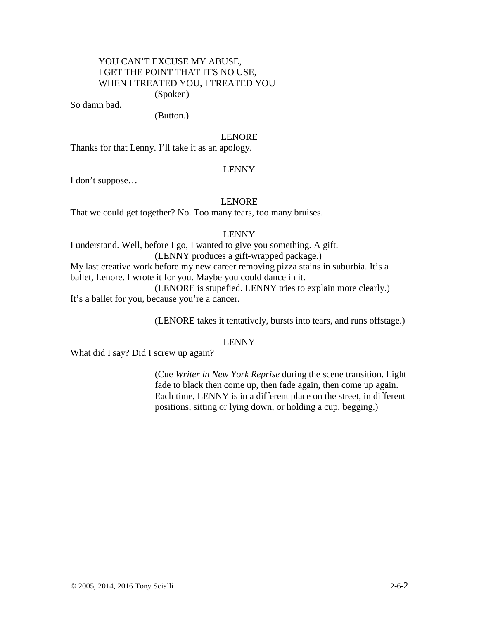# YOU CAN'T EXCUSE MY ABUSE, I GET THE POINT THAT IT'S NO USE, WHEN I TREATED YOU, I TREATED YOU

(Spoken)

So damn bad.

(Button.)

# LENORE

Thanks for that Lenny. I'll take it as an apology.

# LENNY

I don't suppose…

# LENORE

That we could get together? No. Too many tears, too many bruises.

# LENNY

I understand. Well, before I go, I wanted to give you something. A gift. (LENNY produces a gift-wrapped package.) My last creative work before my new career removing pizza stains in suburbia. It's a ballet, Lenore. I wrote it for you. Maybe you could dance in it. (LENORE is stupefied. LENNY tries to explain more clearly.) It's a ballet for you, because you're a dancer.

(LENORE takes it tentatively, bursts into tears, and runs offstage.)

## LENNY

What did I say? Did I screw up again?

(Cue *Writer in New York Reprise* during the scene transition. Light fade to black then come up, then fade again, then come up again. Each time, LENNY is in a different place on the street, in different positions, sitting or lying down, or holding a cup, begging.)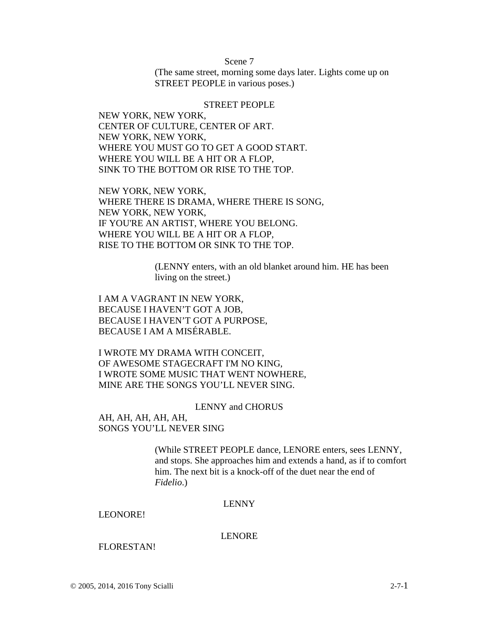Scene 7

(The same street, morning some days later. Lights come up on STREET PEOPLE in various poses.)

## STREET PEOPLE

NEW YORK, NEW YORK, CENTER OF CULTURE, CENTER OF ART. NEW YORK, NEW YORK, WHERE YOU MUST GO TO GET A GOOD START. WHERE YOU WILL BE A HIT OR A FLOP, SINK TO THE BOTTOM OR RISE TO THE TOP.

NEW YORK, NEW YORK, WHERE THERE IS DRAMA, WHERE THERE IS SONG, NEW YORK, NEW YORK, IF YOU'RE AN ARTIST, WHERE YOU BELONG. WHERE YOU WILL BE A HIT OR A FLOP, RISE TO THE BOTTOM OR SINK TO THE TOP.

> (LENNY enters, with an old blanket around him. HE has been living on the street.)

I AM A VAGRANT IN NEW YORK, BECAUSE I HAVEN'T GOT A JOB, BECAUSE I HAVEN'T GOT A PURPOSE, BECAUSE I AM A MISÉRABLE.

I WROTE MY DRAMA WITH CONCEIT, OF AWESOME STAGECRAFT I'M NO KING, I WROTE SOME MUSIC THAT WENT NOWHERE, MINE ARE THE SONGS YOU'LL NEVER SING.

#### LENNY and CHORUS

AH, AH, AH, AH, AH, SONGS YOU'LL NEVER SING

> (While STREET PEOPLE dance, LENORE enters, sees LENNY, and stops. She approaches him and extends a hand, as if to comfort him. The next bit is a knock-off of the duet near the end of *Fidelio*.)

## LENNY

## LEONORE!

#### LENORE

#### FLORESTAN!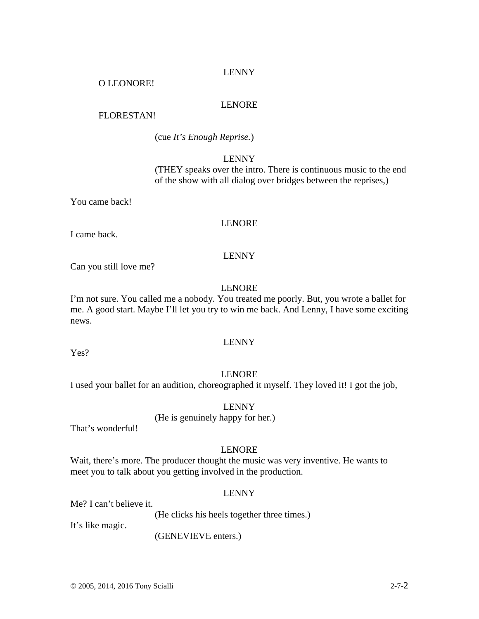# LENNY

# O LEONORE!

# LENORE

# FLORESTAN!

(cue *It's Enough Reprise.*)

# LENNY

(THEY speaks over the intro. There is continuous music to the end of the show with all dialog over bridges between the reprises,)

You came back!

# LENORE

I came back.

# LENNY

Can you still love me?

# LENORE

I'm not sure. You called me a nobody. You treated me poorly. But, you wrote a ballet for me. A good start. Maybe I'll let you try to win me back. And Lenny, I have some exciting news.

# LENNY

Yes?

# LENORE

I used your ballet for an audition, choreographed it myself. They loved it! I got the job,

# LENNY

# (He is genuinely happy for her.)

That's wonderful!

# LENORE

Wait, there's more. The producer thought the music was very inventive. He wants to meet you to talk about you getting involved in the production.

# LENNY

Me? I can't believe it.

(He clicks his heels together three times.)

It's like magic.

(GENEVIEVE enters.)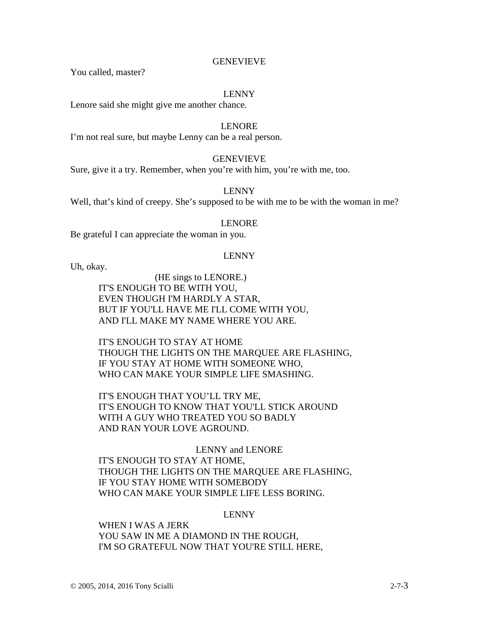# GENEVIEVE

You called, master?

# LENNY

Lenore said she might give me another chance.

# LENORE

I'm not real sure, but maybe Lenny can be a real person.

# GENEVIEVE

Sure, give it a try. Remember, when you're with him, you're with me, too.

# LENNY

Well, that's kind of creepy. She's supposed to be with me to be with the woman in me?

# LENORE

Be grateful I can appreciate the woman in you.

# LENNY

Uh, okay.

(HE sings to LENORE.) IT'S ENOUGH TO BE WITH YOU, EVEN THOUGH I'M HARDLY A STAR, BUT IF YOU'LL HAVE ME I'LL COME WITH YOU, AND I'LL MAKE MY NAME WHERE YOU ARE.

IT'S ENOUGH TO STAY AT HOME THOUGH THE LIGHTS ON THE MARQUEE ARE FLASHING, IF YOU STAY AT HOME WITH SOMEONE WHO, WHO CAN MAKE YOUR SIMPLE LIFE SMASHING.

IT'S ENOUGH THAT YOU'LL TRY ME, IT'S ENOUGH TO KNOW THAT YOU'LL STICK AROUND WITH A GUY WHO TREATED YOU SO BADLY AND RAN YOUR LOVE AGROUND.

LENNY and LENORE IT'S ENOUGH TO STAY AT HOME, THOUGH THE LIGHTS ON THE MARQUEE ARE FLASHING, IF YOU STAY HOME WITH SOMEBODY WHO CAN MAKE YOUR SIMPLE LIFE LESS BORING.

# LENNY

WHEN I WAS A JERK YOU SAW IN ME A DIAMOND IN THE ROUGH, I'M SO GRATEFUL NOW THAT YOU'RE STILL HERE,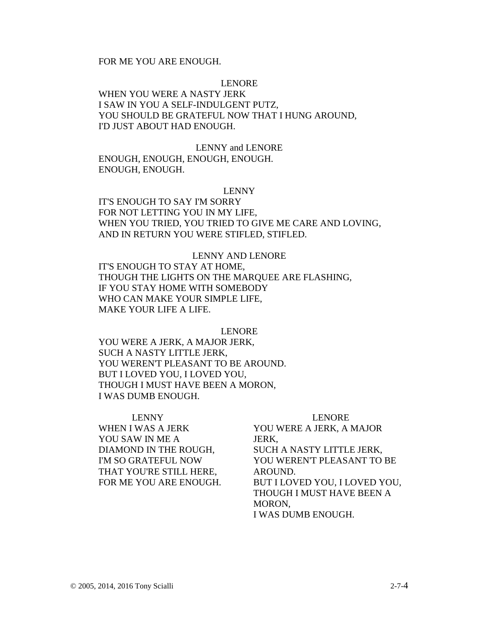# FOR ME YOU ARE ENOUGH.

## LENORE

WHEN YOU WERE A NASTY JERK I SAW IN YOU A SELF-INDULGENT PUTZ, YOU SHOULD BE GRATEFUL NOW THAT I HUNG AROUND, I'D JUST ABOUT HAD ENOUGH.

LENNY and LENORE ENOUGH, ENOUGH, ENOUGH, ENOUGH. ENOUGH, ENOUGH.

#### LENNY

IT'S ENOUGH TO SAY I'M SORRY FOR NOT LETTING YOU IN MY LIFE. WHEN YOU TRIED, YOU TRIED TO GIVE ME CARE AND LOVING, AND IN RETURN YOU WERE STIFLED, STIFLED.

LENNY AND LENORE IT'S ENOUGH TO STAY AT HOME, THOUGH THE LIGHTS ON THE MARQUEE ARE FLASHING, IF YOU STAY HOME WITH SOMEBODY WHO CAN MAKE YOUR SIMPLE LIFE, MAKE YOUR LIFE A LIFE.

#### LENORE

YOU WERE A JERK, A MAJOR JERK, SUCH A NASTY LITTLE JERK, YOU WEREN'T PLEASANT TO BE AROUND. BUT I LOVED YOU, I LOVED YOU, THOUGH I MUST HAVE BEEN A MORON, I WAS DUMB ENOUGH.

# LENNY WHEN I WAS A JERK YOU SAW IN ME A DIAMOND IN THE ROUGH, I'M SO GRATEFUL NOW THAT YOU'RE STILL HERE, FOR ME YOU ARE ENOUGH.

#### LENORE

YOU WERE A JERK, A MAJOR JERK, SUCH A NASTY LITTLE JERK, YOU WEREN'T PLEASANT TO BE AROUND. BUT I LOVED YOU, I LOVED YOU, THOUGH I MUST HAVE BEEN A MORON, I WAS DUMB ENOUGH.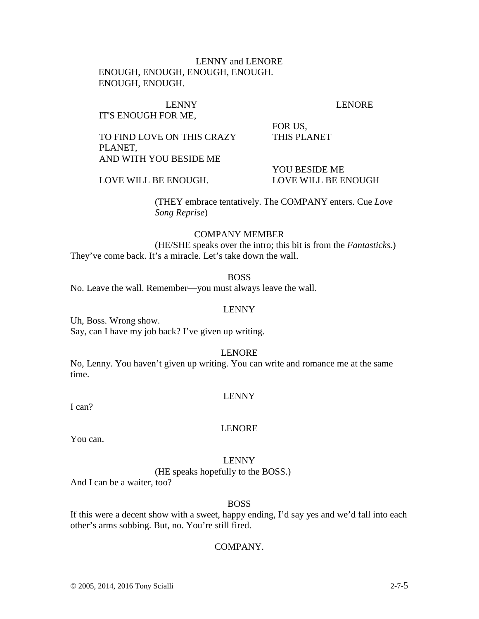# LENNY and LENORE ENOUGH, ENOUGH, ENOUGH, ENOUGH. ENOUGH, ENOUGH.

# IT'S ENOUGH FOR ME,

# LENNY LENORE

TO FIND LOVE ON THIS CRAZY PLANET, AND WITH YOU BESIDE ME

 YOU BESIDE ME LOVE WILL BE ENOUGH. LOVE WILL BE ENOUGH

FOR US,

THIS PLANET

(THEY embrace tentatively. The COMPANY enters. Cue *Love* 

*Song Reprise*)

# COMPANY MEMBER

(HE/SHE speaks over the intro; this bit is from the *Fantasticks.*) They've come back. It's a miracle. Let's take down the wall.

BOSS

No. Leave the wall. Remember—you must always leave the wall.

# LENNY

Uh, Boss. Wrong show. Say, can I have my job back? I've given up writing.

# LENORE

No, Lenny. You haven't given up writing. You can write and romance me at the same time.

# LENNY

I can?

# LENORE

You can.

# LENNY

(HE speaks hopefully to the BOSS.)

And I can be a waiter, too?

# BOSS

If this were a decent show with a sweet, happy ending, I'd say yes and we'd fall into each other's arms sobbing. But, no. You're still fired.

# COMPANY.

© 2005, 2014, 2016 Tony Scialli 2-7-5